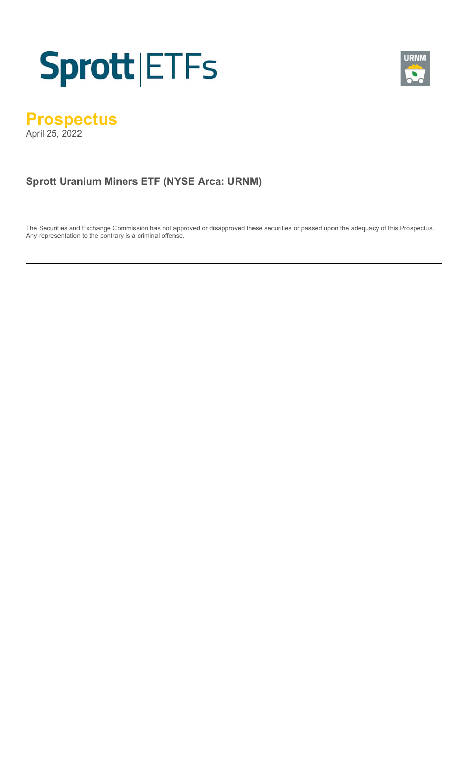



# **Prospectus**

April 25, 2022

# **Sprott Uranium Miners ETF (NYSE Arca: URNM)**

The Securities and Exchange Commission has not approved or disapproved these securities or passed upon the adequacy of this Prospectus. Any representation to the contrary is a criminal offense.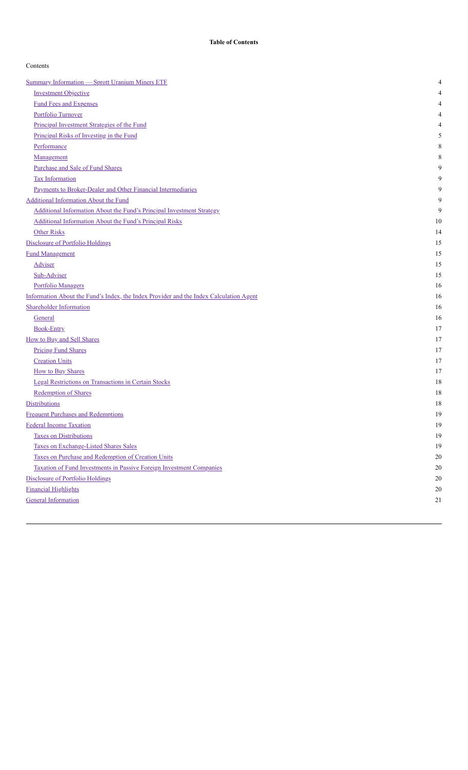| Contents |
|----------|
|----------|

| <b>Summary Information - Sprott Uranium Miners ETF</b>                                 | 4      |
|----------------------------------------------------------------------------------------|--------|
| <b>Investment Objective</b>                                                            | 4      |
| <b>Fund Fees and Expenses</b>                                                          | 4      |
| Portfolio Turnover                                                                     | 4      |
| Principal Investment Strategies of the Fund                                            | 4      |
| Principal Risks of Investing in the Fund                                               | 5      |
| Performance                                                                            | 8      |
| Management                                                                             | 8      |
| Purchase and Sale of Fund Shares                                                       | 9      |
| <b>Tax Information</b>                                                                 | 9      |
| Payments to Broker-Dealer and Other Financial Intermediaries                           | 9      |
| <b>Additional Information About the Fund</b>                                           | 9      |
| Additional Information About the Fund's Principal Investment Strategy                  | 9      |
| Additional Information About the Fund's Principal Risks                                | 10     |
| <b>Other Risks</b>                                                                     | 14     |
| <b>Disclosure of Portfolio Holdings</b>                                                | 15     |
| <b>Fund Management</b>                                                                 | 15     |
| <b>Adviser</b>                                                                         | 15     |
| Sub-Adviser                                                                            | 15     |
| <b>Portfolio Managers</b>                                                              | 16     |
| Information About the Fund's Index, the Index Provider and the Index Calculation Agent | 16     |
| <b>Shareholder Information</b>                                                         | 16     |
| General                                                                                | 16     |
| <b>Book-Entry</b>                                                                      | 17     |
| How to Buy and Sell Shares                                                             | 17     |
| <b>Pricing Fund Shares</b>                                                             | 17     |
| <b>Creation Units</b>                                                                  | 17     |
| <b>How to Buy Shares</b>                                                               | 17     |
| Legal Restrictions on Transactions in Certain Stocks                                   | 18     |
| <b>Redemption of Shares</b>                                                            | 18     |
| <b>Distributions</b>                                                                   | 18     |
| <b>Frequent Purchases and Redemptions</b>                                              | 19     |
| Federal Income Taxation                                                                | 19     |
| <b>Taxes on Distributions</b>                                                          | 19     |
| Taxes on Exchange-Listed Shares Sales                                                  | 19     |
| Taxes on Purchase and Redemption of Creation Units                                     | 20     |
| Taxation of Fund Investments in Passive Foreign Investment Companies                   | 20     |
| Disclosure of Portfolio Holdings                                                       | $20\,$ |
| <b>Financial Highlights</b>                                                            | 20     |
| <b>General Information</b>                                                             | 21     |
|                                                                                        |        |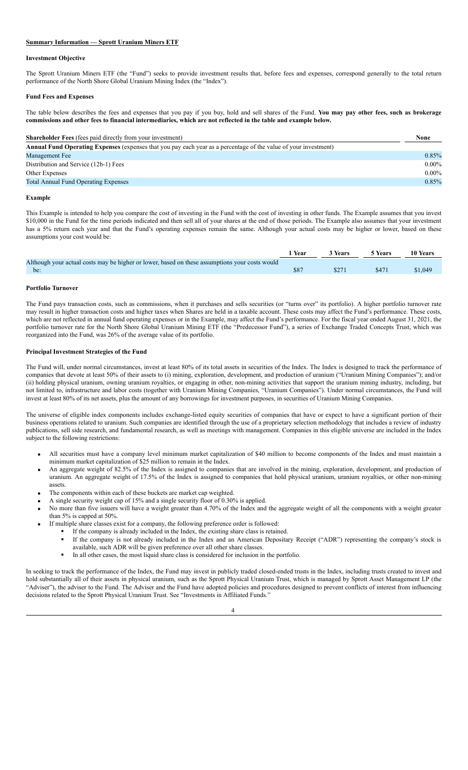# <span id="page-2-0"></span>**Summary Information — Sprott Uranium Miners ETF**

#### <span id="page-2-1"></span>**Investment Objective**

The Sprott Uranium Miners ETF (the "Fund") seeks to provide investment results that, before fees and expenses, correspond generally to the total return performance of the North Shore Global Uranium Mining Index (the "Index").

# <span id="page-2-2"></span>**Fund Fees and Expenses**

The table below describes the fees and expenses that you pay if you buy, hold and sell shares of the Fund. **You may pay other fees, such as brokerage** commissions and other fees to financial intermediaries, which are not reflected in the table and example below.

| <b>Shareholder Fees</b> (fees paid directly from your investment)                                                       |          |  |  |  |
|-------------------------------------------------------------------------------------------------------------------------|----------|--|--|--|
| <b>Annual Fund Operating Expenses</b> (expenses that you pay each year as a percentage of the value of your investment) |          |  |  |  |
| Management Fee                                                                                                          | 0.85%    |  |  |  |
| Distribution and Service (12b-1) Fees                                                                                   | $0.00\%$ |  |  |  |
| Other Expenses                                                                                                          | $0.00\%$ |  |  |  |
| <b>Total Annual Fund Operating Expenses</b>                                                                             | 0.85%    |  |  |  |
|                                                                                                                         |          |  |  |  |

#### **Example**

This Example is intended to help you compare the cost of investing in the Fund with the cost of investing in other funds. The Example assumes that you invest \$10,000 in the Fund for the time periods indicated and then sell all of your shares at the end of those periods. The Example also assumes that your investment has a 5% return each year and that the Fund's operating expenses remain the same. Although your actual costs may be higher or lower, based on these assumptions your cost would be:

|                                                                                                | <b>Year</b> | 3 Years | <b>5 Years</b> | 10 Years |
|------------------------------------------------------------------------------------------------|-------------|---------|----------------|----------|
| Although your actual costs may be higher or lower, based on these assumptions your costs would |             |         |                |          |
| be:                                                                                            | \$87        | \$271   | \$471          | \$1,049  |

# <span id="page-2-3"></span>**Portfolio Turnover**

The Fund pays transaction costs, such as commissions, when it purchases and sells securities (or "turns over" its portfolio). A higher portfolio turnover rate may result in higher transaction costs and higher taxes when Shares are held in a taxable account. These costs may affect the Fund's performance. These costs, which are not reflected in annual fund operating expenses or in the Example, may affect the Fund's performance. For the fiscal year ended August 31, 2021, the portfolio turnover rate for the North Shore Global Uranium Mining ETF (the "Predecessor Fund"), a series of Exchange Traded Concepts Trust, which was reorganized into the Fund, was 26% of the average value of its portfolio.

# <span id="page-2-4"></span>**Principal Investment Strategies of the Fund**

The Fund will, under normal circumstances, invest at least 80% of its total assets in securities of the Index. The Index is designed to track the performance of companies that devote at least 50% of their assets to (i) mining, exploration, development, and production of uranium ("Uranium Mining Companies"); and/or (ii) holding physical uranium, owning uranium royalties, or engaging in other, non-mining activities that support the uranium mining industry, including, but not limited to, infrastructure and labor costs (together with Uranium Mining Companies, "Uranium Companies"). Under normal circumstances, the Fund will invest at least 80% of its net assets, plus the amount of any borrowings for investment purposes, in securities of Uranium Mining Companies.

The universe of eligible index components includes exchange-listed equity securities of companies that have or expect to have a significant portion of their business operations related to uranium. Such companies are identified through the use of a proprietary selection methodology that includes a review of industry publications, sell side research, and fundamental research, as well as meetings with management. Companies in this eligible universe are included in the Index subject to the following restrictions:

- All securities must have a company level minimum market capitalization of \$40 million to become components of the Index and must maintain a minimum market capitalization of \$25 million to remain in the Index.
- An aggregate weight of 82.5% of the Index is assigned to companies that are involved in the mining, exploration, development, and production of uranium. An aggregate weight of 17.5% of the Index is assigned to companies that hold physical uranium, uranium royalties, or other non-mining assets.
- The components within each of these buckets are market cap weighted.
- A single security weight cap of 15% and a single security floor of 0.30% is applied.
- · No more than five issuers will have a weight greater than 4.70% of the Index and the aggregate weight of all the components with a weight greater than 5% is capped at 50%.
- If multiple share classes exist for a company, the following preference order is followed:
	- If the company is already included in the Index, the existing share class is retained.
	- If the company is not already included in the Index and an American Depositary Receipt ("ADR") representing the company's stock is available, such ADR will be given preference over all other share classes.
		- In all other cases, the most liquid share class is considered for inclusion in the portfolio.

In seeking to track the performance of the Index, the Fund may invest in publicly traded closed-ended trusts in the Index, including trusts created to invest and hold substantially all of their assets in physical uranium, such as the Sprott Physical Uranium Trust, which is managed by Sprott Asset Management LP (the "Adviser"), the adviser to the Fund. The Adviser and the Fund have adopted policies and procedures designed to prevent conflicts of interest from influencing decisions related to the Sprott Physical Uranium Trust. See "Investments in Affiliated Funds."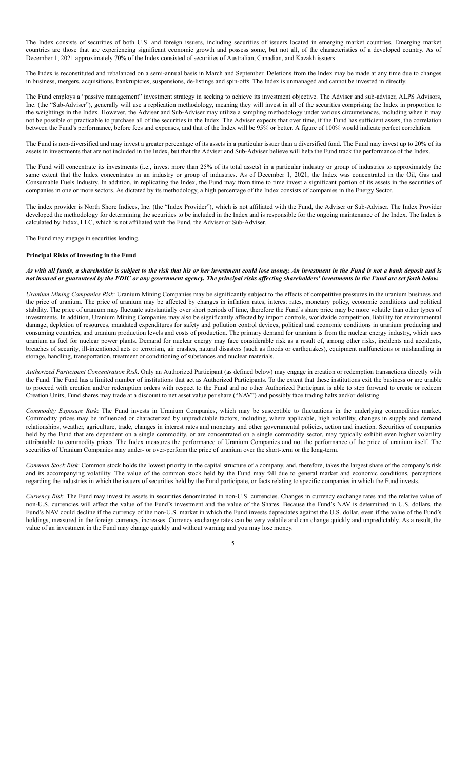The Index consists of securities of both U.S. and foreign issuers, including securities of issuers located in emerging market countries. Emerging market countries are those that are experiencing significant economic growth and possess some, but not all, of the characteristics of a developed country. As of December 1, 2021 approximately 70% of the Index consisted of securities of Australian, Canadian, and Kazakh issuers.

The Index is reconstituted and rebalanced on a semi-annual basis in March and September. Deletions from the Index may be made at any time due to changes in business, mergers, acquisitions, bankruptcies, suspensions, de-listings and spin-offs. The Index is unmanaged and cannot be invested in directly.

The Fund employs a "passive management" investment strategy in seeking to achieve its investment objective. The Adviser and sub-adviser, ALPS Advisors, Inc. (the "Sub-Adviser"), generally will use a replication methodology, meaning they will invest in all of the securities comprising the Index in proportion to the weightings in the Index. However, the Adviser and Sub-Adviser may utilize a sampling methodology under various circumstances, including when it may not be possible or practicable to purchase all of the securities in the Index. The Adviser expects that over time, if the Fund has sufficient assets, the correlation between the Fund's performance, before fees and expenses, and that of the Index will be 95% or better. A figure of 100% would indicate perfect correlation.

The Fund is non-diversified and may invest a greater percentage of its assets in a particular issuer than a diversified fund. The Fund may invest up to 20% of its assets in investments that are not included in the Index, but that the Adviser and Sub-Adviser believe will help the Fund track the performance of the Index.

The Fund will concentrate its investments (i.e., invest more than 25% of its total assets) in a particular industry or group of industries to approximately the same extent that the Index concentrates in an industry or group of industries. As of December 1, 2021, the Index was concentrated in the Oil, Gas and Consumable Fuels Industry. In addition, in replicating the Index, the Fund may from time to time invest a significant portion of its assets in the securities of companies in one or more sectors. As dictated by its methodology, a high percentage of the Index consists of companies in the Energy Sector.

The index provider is North Shore Indices, Inc. (the "Index Provider"), which is not affiliated with the Fund, the Adviser or Sub-Adviser. The Index Provider developed the methodology for determining the securities to be included in the Index and is responsible for the ongoing maintenance of the Index. The Index is calculated by Indxx, LLC, which is not affiliated with the Fund, the Adviser or Sub-Adviser.

The Fund may engage in securities lending.

# <span id="page-3-0"></span>**Principal Risks of Investing in the Fund**

# As with all funds, a shareholder is subject to the risk that his or her investment could lose money. An investment in the Fund is not a bank deposit and is not insured or guaranteed by the FDIC or any government agency. The principal risks affecting shareholders' investments in the Fund are set forth below.

*Uranium Mining Companies Risk*: Uranium Mining Companies may be significantly subject to the effects of competitive pressures in the uranium business and the price of uranium. The price of uranium may be affected by changes in inflation rates, interest rates, monetary policy, economic conditions and political stability. The price of uranium may fluctuate substantially over short periods of time, therefore the Fund's share price may be more volatile than other types of investments. In addition, Uranium Mining Companies may also be significantly affected by import controls, worldwide competition, liability for environmental damage, depletion of resources, mandated expenditures for safety and pollution control devices, political and economic conditions in uranium producing and consuming countries, and uranium production levels and costs of production. The primary demand for uranium is from the nuclear energy industry, which uses uranium as fuel for nuclear power plants. Demand for nuclear energy may face considerable risk as a result of, among other risks, incidents and accidents, breaches of security, ill-intentioned acts or terrorism, air crashes, natural disasters (such as floods or earthquakes), equipment malfunctions or mishandling in storage, handling, transportation, treatment or conditioning of substances and nuclear materials.

*Authorized Participant Concentration Risk*. Only an Authorized Participant (as defined below) may engage in creation or redemption transactions directly with the Fund. The Fund has a limited number of institutions that act as Authorized Participants. To the extent that these institutions exit the business or are unable to proceed with creation and/or redemption orders with respect to the Fund and no other Authorized Participant is able to step forward to create or redeem Creation Units, Fund shares may trade at a discount to net asset value per share ("NAV") and possibly face trading halts and/or delisting.

*Commodity Exposure Risk*: The Fund invests in Uranium Companies, which may be susceptible to fluctuations in the underlying commodities market. Commodity prices may be influenced or characterized by unpredictable factors, including, where applicable, high volatility, changes in supply and demand relationships, weather, agriculture, trade, changes in interest rates and monetary and other governmental policies, action and inaction. Securities of companies held by the Fund that are dependent on a single commodity, or are concentrated on a single commodity sector, may typically exhibit even higher volatility attributable to commodity prices. The Index measures the performance of Uranium Companies and not the performance of the price of uranium itself. The securities of Uranium Companies may under- or over-perform the price of uranium over the short-term or the long-term.

*Common Stock Risk*: Common stock holds the lowest priority in the capital structure of a company, and, therefore, takes the largest share of the company's risk and its accompanying volatility. The value of the common stock held by the Fund may fall due to general market and economic conditions, perceptions regarding the industries in which the issuers of securities held by the Fund participate, or facts relating to specific companies in which the Fund invests.

*Currency Risk*. The Fund may invest its assets in securities denominated in non-U.S. currencies. Changes in currency exchange rates and the relative value of non-U.S. currencies will affect the value of the Fund's investment and the value of the Shares. Because the Fund's NAV is determined in U.S. dollars, the Fund's NAV could decline if the currency of the non-U.S. market in which the Fund invests depreciates against the U.S. dollar, even if the value of the Fund's holdings, measured in the foreign currency, increases. Currency exchange rates can be very volatile and can change quickly and unpredictably. As a result, the value of an investment in the Fund may change quickly and without warning and you may lose money.

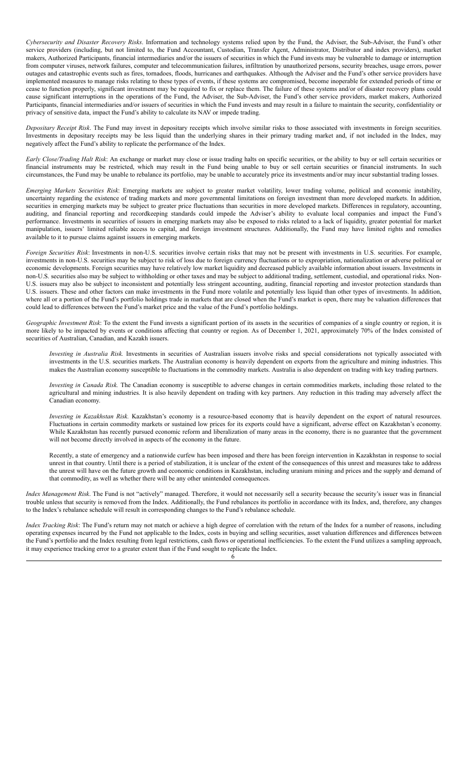*Cybersecurity and Disaster Recovery Risks*. Information and technology systems relied upon by the Fund, the Adviser, the Sub-Adviser, the Fund's other service providers (including, but not limited to, the Fund Accountant, Custodian, Transfer Agent, Administrator, Distributor and index providers), market makers, Authorized Participants, financial intermediaries and/or the issuers of securities in which the Fund invests may be vulnerable to damage or interruption from computer viruses, network failures, computer and telecommunication failures, infiltration by unauthorized persons, security breaches, usage errors, power outages and catastrophic events such as fires, tornadoes, floods, hurricanes and earthquakes. Although the Adviser and the Fund's other service providers have implemented measures to manage risks relating to these types of events, if these systems are compromised, become inoperable for extended periods of time or cease to function properly, significant investment may be required to fix or replace them. The failure of these systems and/or of disaster recovery plans could cause significant interruptions in the operations of the Fund, the Adviser, the Sub-Adviser, the Fund's other service providers, market makers, Authorized Participants, financial intermediaries and/or issuers of securities in which the Fund invests and may result in a failure to maintain the security, confidentiality or privacy of sensitive data, impact the Fund's ability to calculate its NAV or impede trading.

*Depositary Receipt Risk*. The Fund may invest in depositary receipts which involve similar risks to those associated with investments in foreign securities. Investments in depositary receipts may be less liquid than the underlying shares in their primary trading market and, if not included in the Index, may negatively affect the Fund's ability to replicate the performance of the Index.

*Early Close/Trading Halt Risk*: An exchange or market may close or issue trading halts on specific securities, or the ability to buy or sell certain securities or financial instruments may be restricted, which may result in the Fund being unable to buy or sell certain securities or financial instruments. In such circumstances, the Fund may be unable to rebalance its portfolio, may be unable to accurately price its investments and/or may incur substantial trading losses.

*Emerging Markets Securities Risk*: Emerging markets are subject to greater market volatility, lower trading volume, political and economic instability, uncertainty regarding the existence of trading markets and more governmental limitations on foreign investment than more developed markets. In addition, securities in emerging markets may be subject to greater price fluctuations than securities in more developed markets. Differences in regulatory, accounting, auditing, and financial reporting and recordkeeping standards could impede the Adviser's ability to evaluate local companies and impact the Fund's performance. Investments in securities of issuers in emerging markets may also be exposed to risks related to a lack of liquidity, greater potential for market manipulation, issuers' limited reliable access to capital, and foreign investment structures. Additionally, the Fund may have limited rights and remedies available to it to pursue claims against issuers in emerging markets.

*Foreign Securities Risk*: Investments in non-U.S. securities involve certain risks that may not be present with investments in U.S. securities. For example, investments in non-U.S. securities may be subject to risk of loss due to foreign currency fluctuations or to expropriation, nationalization or adverse political or economic developments. Foreign securities may have relatively low market liquidity and decreased publicly available information about issuers. Investments in non-U.S. securities also may be subject to withholding or other taxes and may be subject to additional trading, settlement, custodial, and operational risks. Non-U.S. issuers may also be subject to inconsistent and potentially less stringent accounting, auditing, financial reporting and investor protection standards than U.S. issuers. These and other factors can make investments in the Fund more volatile and potentially less liquid than other types of investments. In addition, where all or a portion of the Fund's portfolio holdings trade in markets that are closed when the Fund's market is open, there may be valuation differences that could lead to differences between the Fund's market price and the value of the Fund's portfolio holdings.

*Geographic Investment Risk*: To the extent the Fund invests a significant portion of its assets in the securities of companies of a single country or region, it is more likely to be impacted by events or conditions affecting that country or region. As of December 1, 2021, approximately 70% of the Index consisted of securities of Australian, Canadian, and Kazakh issuers.

*Investing in Australia Risk.* Investments in securities of Australian issuers involve risks and special considerations not typically associated with investments in the U.S. securities markets. The Australian economy is heavily dependent on exports from the agriculture and mining industries. This makes the Australian economy susceptible to fluctuations in the commodity markets. Australia is also dependent on trading with key trading partners.

*Investing in Canada Risk.* The Canadian economy is susceptible to adverse changes in certain commodities markets, including those related to the agricultural and mining industries. It is also heavily dependent on trading with key partners. Any reduction in this trading may adversely affect the Canadian economy.

*Investing in Kazakhstan Risk.* Kazakhstan's economy is a resource-based economy that is heavily dependent on the export of natural resources. Fluctuations in certain commodity markets or sustained low prices for its exports could have a significant, adverse effect on Kazakhstan's economy. While Kazakhstan has recently pursued economic reform and liberalization of many areas in the economy, there is no guarantee that the government will not become directly involved in aspects of the economy in the future.

Recently, a state of emergency and a nationwide curfew has been imposed and there has been foreign intervention in Kazakhstan in response to social unrest in that country. Until there is a period of stabilization, it is unclear of the extent of the consequences of this unrest and measures take to address the unrest will have on the future growth and economic conditions in Kazakhstan, including uranium mining and prices and the supply and demand of that commodity, as well as whether there will be any other unintended consequences.

*Index Management Risk*. The Fund is not "actively" managed. Therefore, it would not necessarily sell a security because the security's issuer was in financial trouble unless that security is removed from the Index. Additionally, the Fund rebalances its portfolio in accordance with its Index, and, therefore, any changes to the Index's rebalance schedule will result in corresponding changes to the Fund's rebalance schedule.

*Index Tracking Risk*: The Fund's return may not match or achieve a high degree of correlation with the return of the Index for a number of reasons, including operating expenses incurred by the Fund not applicable to the Index, costs in buying and selling securities, asset valuation differences and differences between the Fund's portfolio and the Index resulting from legal restrictions, cash flows or operational inefficiencies. To the extent the Fund utilizes a sampling approach, it may experience tracking error to a greater extent than if the Fund sought to replicate the Index.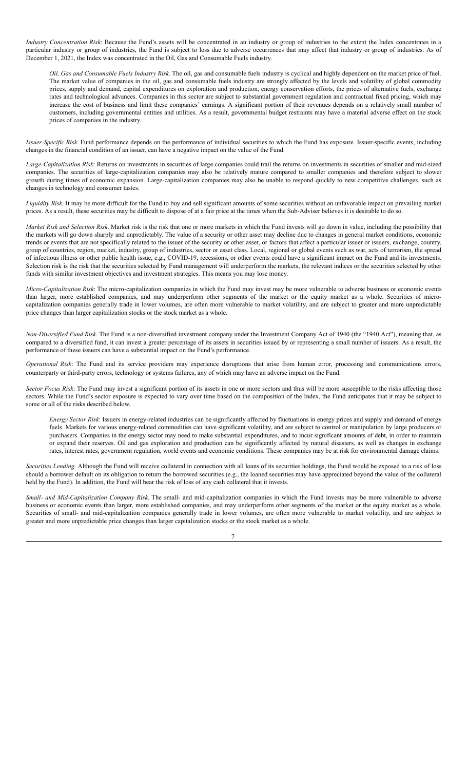*Industry Concentration Risk*: Because the Fund's assets will be concentrated in an industry or group of industries to the extent the Index concentrates in a particular industry or group of industries, the Fund is subject to loss due to adverse occurrences that may affect that industry or group of industries. As of December 1, 2021, the Index was concentrated in the Oil, Gas and Consumable Fuels industry.

*Oil, Gas and Consumable Fuels Industry Risk.* The oil, gas and consumable fuels industry is cyclical and highly dependent on the market price of fuel. The market value of companies in the oil, gas and consumable fuels industry are strongly affected by the levels and volatility of global commodity prices, supply and demand, capital expenditures on exploration and production, energy conservation efforts, the prices of alternative fuels, exchange rates and technological advances. Companies in this sector are subject to substantial government regulation and contractual fixed pricing, which may increase the cost of business and limit these companies' earnings. A significant portion of their revenues depends on a relatively small number of customers, including governmental entities and utilities. As a result, governmental budget restraints may have a material adverse effect on the stock prices of companies in the industry.

*Issuer-Specific Risk*. Fund performance depends on the performance of individual securities to which the Fund has exposure. Issuer-specific events, including changes in the financial condition of an issuer, can have a negative impact on the value of the Fund.

*Large-Capitalization Risk*: Returns on investments in securities of large companies could trail the returns on investments in securities of smaller and mid-sized companies. The securities of large-capitalization companies may also be relatively mature compared to smaller companies and therefore subject to slower growth during times of economic expansion. Large-capitalization companies may also be unable to respond quickly to new competitive challenges, such as changes in technology and consumer tastes.

*Liquidity Risk*. It may be more difficult for the Fund to buy and sell significant amounts of some securities without an unfavorable impact on prevailing market prices. As a result, these securities may be difficult to dispose of at a fair price at the times when the Sub-Adviser believes it is desirable to do so.

*Market Risk and Selection Risk*. Market risk is the risk that one or more markets in which the Fund invests will go down in value, including the possibility that the markets will go down sharply and unpredictably. The value of a security or other asset may decline due to changes in general market conditions, economic trends or events that are not specifically related to the issuer of the security or other asset, or factors that affect a particular issuer or issuers, exchange, country, group of countries, region, market, industry, group of industries, sector or asset class. Local, regional or global events such as war, acts of terrorism, the spread of infectious illness or other public health issue, e.g., COVID-19, recessions, or other events could have a significant impact on the Fund and its investments. Selection risk is the risk that the securities selected by Fund management will underperform the markets, the relevant indices or the securities selected by other funds with similar investment objectives and investment strategies. This means you may lose money.

*Micro-Capitalization Risk*: The micro-capitalization companies in which the Fund may invest may be more vulnerable to adverse business or economic events than larger, more established companies, and may underperform other segments of the market or the equity market as a whole. Securities of microcapitalization companies generally trade in lower volumes, are often more vulnerable to market volatility, and are subject to greater and more unpredictable price changes than larger capitalization stocks or the stock market as a whole.

*Non-Diversified Fund Risk*. The Fund is a non-diversified investment company under the Investment Company Act of 1940 (the "1940 Act"), meaning that, as compared to a diversified fund, it can invest a greater percentage of its assets in securities issued by or representing a small number of issuers. As a result, the performance of these issuers can have a substantial impact on the Fund's performance.

*Operational Risk*: The Fund and its service providers may experience disruptions that arise from human error, processing and communications errors, counterparty or third-party errors, technology or systems failures, any of which may have an adverse impact on the Fund.

*Sector Focus Risk*: The Fund may invest a significant portion of its assets in one or more sectors and thus will be more susceptible to the risks affecting those sectors. While the Fund's sector exposure is expected to vary over time based on the composition of the Index, the Fund anticipates that it may be subject to some or all of the risks described below.

*Energy Sector Risk*: Issuers in energy-related industries can be significantly affected by fluctuations in energy prices and supply and demand of energy fuels. Markets for various energy-related commodities can have significant volatility, and are subject to control or manipulation by large producers or purchasers. Companies in the energy sector may need to make substantial expenditures, and to incur significant amounts of debt, in order to maintain or expand their reserves. Oil and gas exploration and production can be significantly affected by natural disasters, as well as changes in exchange rates, interest rates, government regulation, world events and economic conditions. These companies may be at risk for environmental damage claims.

*Securities Lending*. Although the Fund will receive collateral in connection with all loans of its securities holdings, the Fund would be exposed to a risk of loss should a borrower default on its obligation to return the borrowed securities (e.g., the loaned securities may have appreciated beyond the value of the collateral held by the Fund). In addition, the Fund will bear the risk of loss of any cash collateral that it invests.

*Small- and Mid-Capitalization Company Risk*. The small- and mid-capitalization companies in which the Fund invests may be more vulnerable to adverse business or economic events than larger, more established companies, and may underperform other segments of the market or the equity market as a whole. Securities of small- and mid-capitalization companies generally trade in lower volumes, are often more vulnerable to market volatility, and are subject to greater and more unpredictable price changes than larger capitalization stocks or the stock market as a whole.

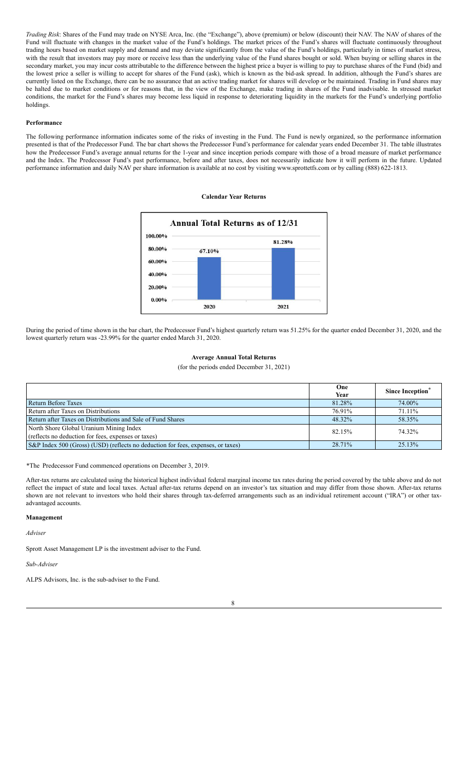*Trading Risk*: Shares of the Fund may trade on NYSE Arca, Inc. (the "Exchange"), above (premium) or below (discount) their NAV. The NAV of shares of the Fund will fluctuate with changes in the market value of the Fund's holdings. The market prices of the Fund's shares will fluctuate continuously throughout trading hours based on market supply and demand and may deviate significantly from the value of the Fund's holdings, particularly in times of market stress, with the result that investors may pay more or receive less than the underlying value of the Fund shares bought or sold. When buying or selling shares in the secondary market, you may incur costs attributable to the difference between the highest price a buyer is willing to pay to purchase shares of the Fund (bid) and the lowest price a seller is willing to accept for shares of the Fund (ask), which is known as the bid-ask spread. In addition, although the Fund's shares are currently listed on the Exchange, there can be no assurance that an active trading market for shares will develop or be maintained. Trading in Fund shares may be halted due to market conditions or for reasons that, in the view of the Exchange, make trading in shares of the Fund inadvisable. In stressed market conditions, the market for the Fund's shares may become less liquid in response to deteriorating liquidity in the markets for the Fund's underlying portfolio holdings.

# <span id="page-6-0"></span>**Performance**

The following performance information indicates some of the risks of investing in the Fund. The Fund is newly organized, so the performance information presented is that of the Predecessor Fund. The bar chart shows the Predecessor Fund's performance for calendar years ended December 31. The table illustrates how the Predecessor Fund's average annual returns for the 1-year and since inception periods compare with those of a broad measure of market performance and the Index. The Predecessor Fund's past performance, before and after taxes, does not necessarily indicate how it will perform in the future. Updated performance information and daily NAV per share information is available at no cost by visiting www.sprottetfs.com or by calling (888) 622-1813.

#### **Calendar Year Returns**



During the period of time shown in the bar chart, the Predecessor Fund's highest quarterly return was 51.25% for the quarter ended December 31, 2020, and the lowest quarterly return was -23.99% for the quarter ended March 31, 2020.

# **Average Annual Total Returns**

(for the periods ended December 31, 2021)

|                                                                                                | One<br>Year | Since Inception <sup>®</sup> |
|------------------------------------------------------------------------------------------------|-------------|------------------------------|
| Return Before Taxes                                                                            | 81.28%      | 74.00%                       |
| Return after Taxes on Distributions                                                            | 76.91%      | 71.11%                       |
| Return after Taxes on Distributions and Sale of Fund Shares                                    | 48.32%      | 58.35%                       |
| North Shore Global Uranium Mining Index<br>(reflects no deduction for fees, expenses or taxes) | 82.15%      | 74.32%                       |
| S&P Index 500 (Gross) (USD) (reflects no deduction for fees, expenses, or taxes)               | 28.71%      | 25.13%                       |

\*The Predecessor Fund commenced operations on December 3, 2019.

After-tax returns are calculated using the historical highest individual federal marginal income tax rates during the period covered by the table above and do not reflect the impact of state and local taxes. Actual after-tax returns depend on an investor's tax situation and may differ from those shown. After-tax returns shown are not relevant to investors who hold their shares through tax-deferred arrangements such as an individual retirement account ("IRA") or other taxadvantaged accounts.

#### <span id="page-6-1"></span>**Management**

*Adviser*

Sprott Asset Management LP is the investment adviser to the Fund.

*Sub-Adviser*

ALPS Advisors, Inc. is the sub-adviser to the Fund.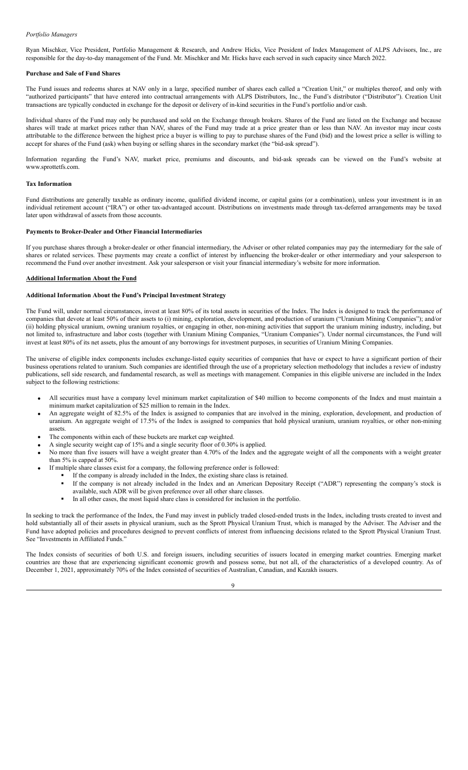# *Portfolio Managers*

Ryan Mischker, Vice President, Portfolio Management & Research, and Andrew Hicks, Vice President of Index Management of ALPS Advisors, Inc., are responsible for the day-to-day management of the Fund. Mr. Mischker and Mr. Hicks have each served in such capacity since March 2022.

#### <span id="page-7-0"></span>**Purchase and Sale of Fund Shares**

The Fund issues and redeems shares at NAV only in a large, specified number of shares each called a "Creation Unit," or multiples thereof, and only with "authorized participants" that have entered into contractual arrangements with ALPS Distributors, Inc., the Fund's distributor ("Distributor"). Creation Unit transactions are typically conducted in exchange for the deposit or delivery of in-kind securities in the Fund's portfolio and/or cash.

Individual shares of the Fund may only be purchased and sold on the Exchange through brokers. Shares of the Fund are listed on the Exchange and because shares will trade at market prices rather than NAV, shares of the Fund may trade at a price greater than or less than NAV. An investor may incur costs attributable to the difference between the highest price a buyer is willing to pay to purchase shares of the Fund (bid) and the lowest price a seller is willing to accept for shares of the Fund (ask) when buying or selling shares in the secondary market (the "bid-ask spread").

Information regarding the Fund's NAV, market price, premiums and discounts, and bid-ask spreads can be viewed on the Fund's website at www.sprottetfs.com.

#### <span id="page-7-1"></span>**Tax Information**

Fund distributions are generally taxable as ordinary income, qualified dividend income, or capital gains (or a combination), unless your investment is in an individual retirement account ("IRA") or other tax-advantaged account. Distributions on investments made through tax-deferred arrangements may be taxed later upon withdrawal of assets from those accounts.

#### <span id="page-7-2"></span>**Payments to Broker-Dealer and Other Financial Intermediaries**

If you purchase shares through a broker-dealer or other financial intermediary, the Adviser or other related companies may pay the intermediary for the sale of shares or related services. These payments may create a conflict of interest by influencing the broker-dealer or other intermediary and your salesperson to recommend the Fund over another investment. Ask your salesperson or visit your financial intermediary's website for more information.

#### <span id="page-7-3"></span>**Additional Information About the Fund**

# <span id="page-7-4"></span>**Additional Information About the Fund's Principal Investment Strategy**

The Fund will, under normal circumstances, invest at least 80% of its total assets in securities of the Index. The Index is designed to track the performance of companies that devote at least 50% of their assets to (i) mining, exploration, development, and production of uranium ("Uranium Mining Companies"); and/or (ii) holding physical uranium, owning uranium royalties, or engaging in other, non-mining activities that support the uranium mining industry, including, but not limited to, infrastructure and labor costs (together with Uranium Mining Companies, "Uranium Companies"). Under normal circumstances, the Fund will invest at least 80% of its net assets, plus the amount of any borrowings for investment purposes, in securities of Uranium Mining Companies.

The universe of eligible index components includes exchange-listed equity securities of companies that have or expect to have a significant portion of their business operations related to uranium. Such companies are identified through the use of a proprietary selection methodology that includes a review of industry publications, sell side research, and fundamental research, as well as meetings with management. Companies in this eligible universe are included in the Index subject to the following restrictions:

- All securities must have a company level minimum market capitalization of \$40 million to become components of the Index and must maintain a minimum market capitalization of \$25 million to remain in the Index.
- An aggregate weight of 82.5% of the Index is assigned to companies that are involved in the mining, exploration, development, and production of uranium. An aggregate weight of 17.5% of the Index is assigned to companies that hold physical uranium, uranium royalties, or other non-mining assets.
- The components within each of these buckets are market cap weighted.
	- A single security weight cap of 15% and a single security floor of 0.30% is applied.
- · No more than five issuers will have a weight greater than 4.70% of the Index and the aggregate weight of all the components with a weight greater than 5% is capped at 50%.
- If multiple share classes exist for a company, the following preference order is followed:
	- If the company is already included in the Index, the existing share class is retained.
		- § If the company is not already included in the Index and an American Depositary Receipt ("ADR") representing the company's stock is available, such ADR will be given preference over all other share classes.
		- § In all other cases, the most liquid share class is considered for inclusion in the portfolio.

In seeking to track the performance of the Index, the Fund may invest in publicly traded closed-ended trusts in the Index, including trusts created to invest and hold substantially all of their assets in physical uranium, such as the Sprott Physical Uranium Trust, which is managed by the Adviser. The Adviser and the Fund have adopted policies and procedures designed to prevent conflicts of interest from influencing decisions related to the Sprott Physical Uranium Trust. See "Investments in Affiliated Funds."

The Index consists of securities of both U.S. and foreign issuers, including securities of issuers located in emerging market countries. Emerging market countries are those that are experiencing significant economic growth and possess some, but not all, of the characteristics of a developed country. As of December 1, 2021, approximately 70% of the Index consisted of securities of Australian, Canadian, and Kazakh issuers.

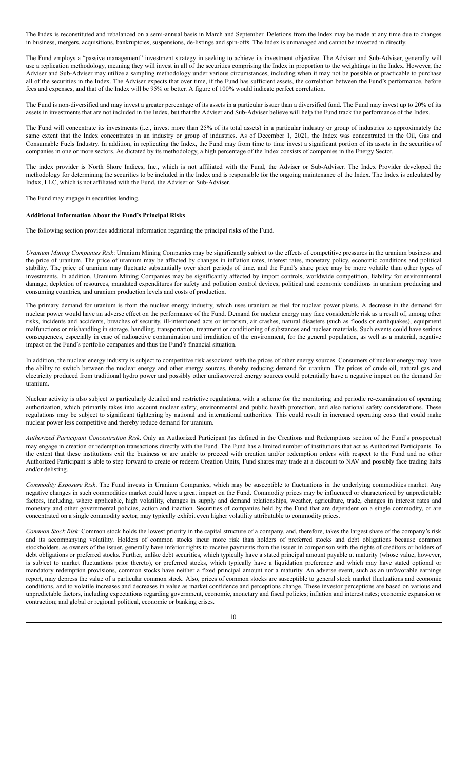The Index is reconstituted and rebalanced on a semi-annual basis in March and September. Deletions from the Index may be made at any time due to changes in business, mergers, acquisitions, bankruptcies, suspensions, de-listings and spin-offs. The Index is unmanaged and cannot be invested in directly.

The Fund employs a "passive management" investment strategy in seeking to achieve its investment objective. The Adviser and Sub-Adviser, generally will use a replication methodology, meaning they will invest in all of the securities comprising the Index in proportion to the weightings in the Index. However, the Adviser and Sub-Adviser may utilize a sampling methodology under various circumstances, including when it may not be possible or practicable to purchase all of the securities in the Index. The Adviser expects that over time, if the Fund has sufficient assets, the correlation between the Fund's performance, before fees and expenses, and that of the Index will be 95% or better. A figure of 100% would indicate perfect correlation.

The Fund is non-diversified and may invest a greater percentage of its assets in a particular issuer than a diversified fund. The Fund may invest up to 20% of its assets in investments that are not included in the Index, but that the Adviser and Sub-Adviser believe will help the Fund track the performance of the Index.

The Fund will concentrate its investments (i.e., invest more than 25% of its total assets) in a particular industry or group of industries to approximately the same extent that the Index concentrates in an industry or group of industries. As of December 1, 2021, the Index was concentrated in the Oil, Gas and Consumable Fuels Industry. In addition, in replicating the Index, the Fund may from time to time invest a significant portion of its assets in the securities of companies in one or more sectors. As dictated by its methodology, a high percentage of the Index consists of companies in the Energy Sector.

The index provider is North Shore Indices, Inc., which is not affiliated with the Fund, the Adviser or Sub-Adviser. The Index Provider developed the methodology for determining the securities to be included in the Index and is responsible for the ongoing maintenance of the Index. The Index is calculated by Indxx, LLC, which is not affiliated with the Fund, the Adviser or Sub-Adviser.

The Fund may engage in securities lending.

# <span id="page-8-0"></span>**Additional Information About the Fund's Principal Risks**

The following section provides additional information regarding the principal risks of the Fund.

*Uranium Mining Companies Risk*: Uranium Mining Companies may be significantly subject to the effects of competitive pressures in the uranium business and the price of uranium. The price of uranium may be affected by changes in inflation rates, interest rates, monetary policy, economic conditions and political stability. The price of uranium may fluctuate substantially over short periods of time, and the Fund's share price may be more volatile than other types of investments. In addition, Uranium Mining Companies may be significantly affected by import controls, worldwide competition, liability for environmental damage, depletion of resources, mandated expenditures for safety and pollution control devices, political and economic conditions in uranium producing and consuming countries, and uranium production levels and costs of production.

The primary demand for uranium is from the nuclear energy industry, which uses uranium as fuel for nuclear power plants. A decrease in the demand for nuclear power would have an adverse effect on the performance of the Fund. Demand for nuclear energy may face considerable risk as a result of, among other risks, incidents and accidents, breaches of security, ill-intentioned acts or terrorism, air crashes, natural disasters (such as floods or earthquakes), equipment malfunctions or mishandling in storage, handling, transportation, treatment or conditioning of substances and nuclear materials. Such events could have serious consequences, especially in case of radioactive contamination and irradiation of the environment, for the general population, as well as a material, negative impact on the Fund's portfolio companies and thus the Fund's financial situation.

In addition, the nuclear energy industry is subject to competitive risk associated with the prices of other energy sources. Consumers of nuclear energy may have the ability to switch between the nuclear energy and other energy sources, thereby reducing demand for uranium. The prices of crude oil, natural gas and electricity produced from traditional hydro power and possibly other undiscovered energy sources could potentially have a negative impact on the demand for uranium.

Nuclear activity is also subject to particularly detailed and restrictive regulations, with a scheme for the monitoring and periodic re-examination of operating authorization, which primarily takes into account nuclear safety, environmental and public health protection, and also national safety considerations. These regulations may be subject to significant tightening by national and international authorities. This could result in increased operating costs that could make nuclear power less competitive and thereby reduce demand for uranium.

*Authorized Participant Concentration Risk*. Only an Authorized Participant (as defined in the Creations and Redemptions section of the Fund's prospectus) may engage in creation or redemption transactions directly with the Fund. The Fund has a limited number of institutions that act as Authorized Participants. To the extent that these institutions exit the business or are unable to proceed with creation and/or redemption orders with respect to the Fund and no other Authorized Participant is able to step forward to create or redeem Creation Units, Fund shares may trade at a discount to NAV and possibly face trading halts and/or delisting.

*Commodity Exposure Risk*. The Fund invests in Uranium Companies, which may be susceptible to fluctuations in the underlying commodities market. Any negative changes in such commodities market could have a great impact on the Fund. Commodity prices may be influenced or characterized by unpredictable factors, including, where applicable, high volatility, changes in supply and demand relationships, weather, agriculture, trade, changes in interest rates and monetary and other governmental policies, action and inaction. Securities of companies held by the Fund that are dependent on a single commodity, or are concentrated on a single commodity sector, may typically exhibit even higher volatility attributable to commodity prices.

*Common Stock Risk*: Common stock holds the lowest priority in the capital structure of a company, and, therefore, takes the largest share of the company's risk and its accompanying volatility. Holders of common stocks incur more risk than holders of preferred stocks and debt obligations because common stockholders, as owners of the issuer, generally have inferior rights to receive payments from the issuer in comparison with the rights of creditors or holders of debt obligations or preferred stocks. Further, unlike debt securities, which typically have a stated principal amount payable at maturity (whose value, however, is subject to market fluctuations prior thereto), or preferred stocks, which typically have a liquidation preference and which may have stated optional or mandatory redemption provisions, common stocks have neither a fixed principal amount nor a maturity. An adverse event, such as an unfavorable earnings report, may depress the value of a particular common stock. Also, prices of common stocks are susceptible to general stock market fluctuations and economic conditions, and to volatile increases and decreases in value as market confidence and perceptions change. These investor perceptions are based on various and unpredictable factors, including expectations regarding government, economic, monetary and fiscal policies; inflation and interest rates; economic expansion or contraction; and global or regional political, economic or banking crises.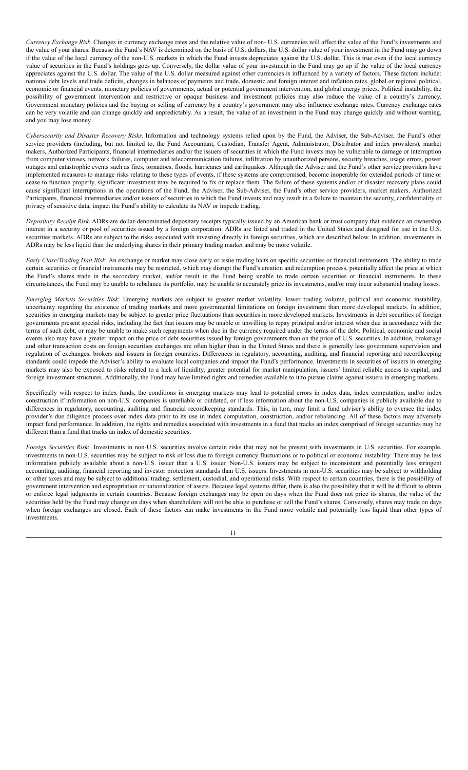*Currency Exchange Risk*. Changes in currency exchange rates and the relative value of non- U.S. currencies will affect the value of the Fund's investments and the value of your shares. Because the Fund's NAV is determined on the basis of U.S. dollars, the U.S. dollar value of your investment in the Fund may go down if the value of the local currency of the non-U.S. markets in which the Fund invests depreciates against the U.S. dollar. This is true even if the local currency value of securities in the Fund's holdings goes up. Conversely, the dollar value of your investment in the Fund may go up if the value of the local currency appreciates against the U.S. dollar. The value of the U.S. dollar measured against other currencies is influenced by a variety of factors. These factors include: national debt levels and trade deficits, changes in balances of payments and trade, domestic and foreign interest and inflation rates, global or regional political, economic or financial events, monetary policies of governments, actual or potential government intervention, and global energy prices. Political instability, the possibility of government intervention and restrictive or opaque business and investment policies may also reduce the value of a country's currency. Government monetary policies and the buying or selling of currency by a country's government may also influence exchange rates. Currency exchange rates can be very volatile and can change quickly and unpredictably. As a result, the value of an investment in the Fund may change quickly and without warning, and you may lose money.

*Cybersecurity and Disaster Recovery Risks*. Information and technology systems relied upon by the Fund, the Adviser, the Sub-Adviser, the Fund's other service providers (including, but not limited to, the Fund Accountant, Custodian, Transfer Agent, Administrator, Distributor and index providers), market makers, Authorized Participants, financial intermediaries and/or the issuers of securities in which the Fund invests may be vulnerable to damage or interruption from computer viruses, network failures, computer and telecommunication failures, infiltration by unauthorized persons, security breaches, usage errors, power outages and catastrophic events such as fires, tornadoes, floods, hurricanes and earthquakes. Although the Adviser and the Fund's other service providers have implemented measures to manage risks relating to these types of events, if these systems are compromised, become inoperable for extended periods of time or cease to function properly, significant investment may be required to fix or replace them. The failure of these systems and/or of disaster recovery plans could cause significant interruptions in the operations of the Fund, the Adviser, the Sub-Adviser, the Fund's other service providers, market makers, Authorized Participants, financial intermediaries and/or issuers of securities in which the Fund invests and may result in a failure to maintain the security, confidentiality or privacy of sensitive data, impact the Fund's ability to calculate its NAV or impede trading.

*Depositary Receipt Risk*. ADRs are dollar-denominated depositary receipts typically issued by an American bank or trust company that evidence an ownership interest in a security or pool of securities issued by a foreign corporation. ADRs are listed and traded in the United States and designed for use in the U.S. securities markets. ADRs are subject to the risks associated with investing directly in foreign securities, which are described below. In addition, investments in ADRs may be less liquid than the underlying shares in their primary trading market and may be more volatile.

*Early Close/Trading Halt Risk*: An exchange or market may close early or issue trading halts on specific securities or financial instruments. The ability to trade certain securities or financial instruments may be restricted, which may disrupt the Fund's creation and redemption process, potentially affect the price at which the Fund's shares trade in the secondary market, and/or result in the Fund being unable to trade certain securities or financial instruments. In these circumstances, the Fund may be unable to rebalance its portfolio, may be unable to accurately price its investments, and/or may incur substantial trading losses.

*Emerging Markets Securities Risk*: Emerging markets are subject to greater market volatility, lower trading volume, political and economic instability, uncertainty regarding the existence of trading markets and more governmental limitations on foreign investment than more developed markets. In addition, securities in emerging markets may be subject to greater price fluctuations than securities in more developed markets. Investments in debt securities of foreign governments present special risks, including the fact that issuers may be unable or unwilling to repay principal and/or interest when due in accordance with the terms of such debt, or may be unable to make such repayments when due in the currency required under the terms of the debt. Political, economic and social events also may have a greater impact on the price of debt securities issued by foreign governments than on the price of U.S. securities. In addition, brokerage and other transaction costs on foreign securities exchanges are often higher than in the United States and there is generally less government supervision and regulation of exchanges, brokers and issuers in foreign countries. Differences in regulatory, accounting, auditing, and financial reporting and recordkeeping standards could impede the Adviser's ability to evaluate local companies and impact the Fund's performance. Investments in securities of issuers in emerging markets may also be exposed to risks related to a lack of liquidity, greater potential for market manipulation, issuers' limited reliable access to capital, and foreign investment structures. Additionally, the Fund may have limited rights and remedies available to it to pursue claims against issuers in emerging markets.

Specifically with respect to index funds, the conditions in emerging markets may lead to potential errors in index data, index computation, and/or index construction if information on non-U.S. companies is unreliable or outdated, or if less information about the non-U.S. companies is publicly available due to differences in regulatory, accounting, auditing and financial recordkeeping standards. This, in turn, may limit a fund adviser's ability to oversee the index provider's due diligence process over index data prior to its use in index computation, construction, and/or rebalancing. All of these factors may adversely impact fund performance. In addition, the rights and remedies associated with investments in a fund that tracks an index comprised of foreign securities may be different than a fund that tracks an index of domestic securities.

*Foreign Securities Risk*: Investments in non-U.S. securities involve certain risks that may not be present with investments in U.S. securities. For example, investments in non-U.S. securities may be subject to risk of loss due to foreign currency fluctuations or to political or economic instability. There may be less information publicly available about a non-U.S. issuer than a U.S. issuer. Non-U.S. issuers may be subject to inconsistent and potentially less stringent accounting, auditing, financial reporting and investor protection standards than U.S. issuers. Investments in non-U.S. securities may be subject to withholding or other taxes and may be subject to additional trading, settlement, custodial, and operational risks. With respect to certain countries, there is the possibility of government intervention and expropriation or nationalization of assets. Because legal systems differ, there is also the possibility that it will be difficult to obtain or enforce legal judgments in certain countries. Because foreign exchanges may be open on days when the Fund does not price its shares, the value of the securities held by the Fund may change on days when shareholders will not be able to purchase or sell the Fund's shares. Conversely, shares may trade on days when foreign exchanges are closed. Each of these factors can make investments in the Fund more volatile and potentially less liquid than other types of investments.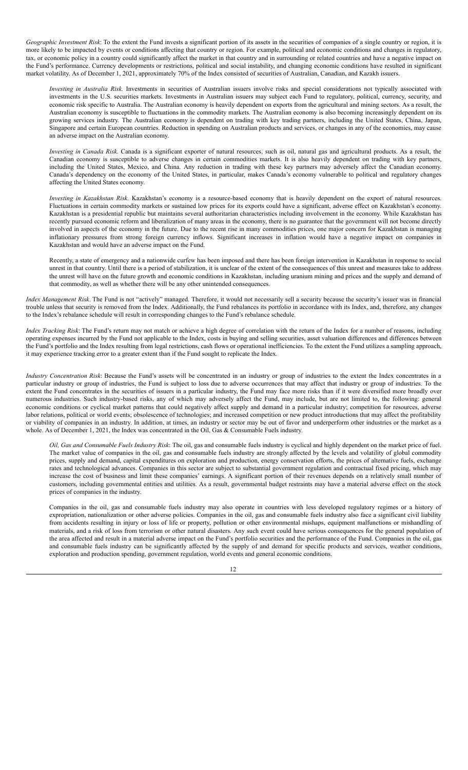*Geographic Investment Risk*: To the extent the Fund invests a significant portion of its assets in the securities of companies of a single country or region, it is more likely to be impacted by events or conditions affecting that country or region. For example, political and economic conditions and changes in regulatory, tax, or economic policy in a country could significantly affect the market in that country and in surrounding or related countries and have a negative impact on the Fund's performance. Currency developments or restrictions, political and social instability, and changing economic conditions have resulted in significant market volatility. As of December 1, 2021, approximately 70% of the Index consisted of securities of Australian, Canadian, and Kazakh issuers.

*Investing in Australia Risk.* Investments in securities of Australian issuers involve risks and special considerations not typically associated with investments in the U.S. securities markets. Investments in Australian issuers may subject each Fund to regulatory, political, currency, security, and economic risk specific to Australia. The Australian economy is heavily dependent on exports from the agricultural and mining sectors. As a result, the Australian economy is susceptible to fluctuations in the commodity markets. The Australian economy is also becoming increasingly dependent on its growing services industry. The Australian economy is dependent on trading with key trading partners, including the United States, China, Japan, Singapore and certain European countries. Reduction in spending on Australian products and services, or changes in any of the economies, may cause an adverse impact on the Australian economy.

*Investing in Canada Risk.* Canada is a significant exporter of natural resources, such as oil, natural gas and agricultural products. As a result, the Canadian economy is susceptible to adverse changes in certain commodities markets. It is also heavily dependent on trading with key partners, including the United States, Mexico, and China. Any reduction in trading with these key partners may adversely affect the Canadian economy. Canada's dependency on the economy of the United States, in particular, makes Canada's economy vulnerable to political and regulatory changes affecting the United States economy.

*Investing in Kazakhstan Risk.* Kazakhstan's economy is a resource-based economy that is heavily dependent on the export of natural resources. Fluctuations in certain commodity markets or sustained low prices for its exports could have a significant, adverse effect on Kazakhstan's economy. Kazakhstan is a presidential republic but maintains several authoritarian characteristics including involvement in the economy. While Kazakhstan has recently pursued economic reform and liberalization of many areas in the economy, there is no guarantee that the government will not become directly involved in aspects of the economy in the future. Due to the recent rise in many commodities prices, one major concern for Kazakhstan is managing inflationary pressures from strong foreign currency inflows. Significant increases in inflation would have a negative impact on companies in Kazakhstan and would have an adverse impact on the Fund.

Recently, a state of emergency and a nationwide curfew has been imposed and there has been foreign intervention in Kazakhstan in response to social unrest in that country. Until there is a period of stabilization, it is unclear of the extent of the consequences of this unrest and measures take to address the unrest will have on the future growth and economic conditions in Kazakhstan, including uranium mining and prices and the supply and demand of that commodity, as well as whether there will be any other unintended consequences.

*Index Management Risk*. The Fund is not "actively" managed. Therefore, it would not necessarily sell a security because the security's issuer was in financial trouble unless that security is removed from the Index. Additionally, the Fund rebalances its portfolio in accordance with its Index, and, therefore, any changes to the Index's rebalance schedule will result in corresponding changes to the Fund's rebalance schedule.

*Index Tracking Risk*: The Fund's return may not match or achieve a high degree of correlation with the return of the Index for a number of reasons, including operating expenses incurred by the Fund not applicable to the Index, costs in buying and selling securities, asset valuation differences and differences between the Fund's portfolio and the Index resulting from legal restrictions, cash flows or operational inefficiencies. To the extent the Fund utilizes a sampling approach, it may experience tracking error to a greater extent than if the Fund sought to replicate the Index.

*Industry Concentration Risk*: Because the Fund's assets will be concentrated in an industry or group of industries to the extent the Index concentrates in a particular industry or group of industries, the Fund is subject to loss due to adverse occurrences that may affect that industry or group of industries. To the extent the Fund concentrates in the securities of issuers in a particular industry, the Fund may face more risks than if it were diversified more broadly over numerous industries. Such industry-based risks, any of which may adversely affect the Fund, may include, but are not limited to, the following: general economic conditions or cyclical market patterns that could negatively affect supply and demand in a particular industry; competition for resources, adverse labor relations, political or world events; obsolescence of technologies; and increased competition or new product introductions that may affect the profitability or viability of companies in an industry. In addition, at times, an industry or sector may be out of favor and underperform other industries or the market as a whole. As of December 1, 2021, the Index was concentrated in the Oil, Gas & Consumable Fuels industry*.*

*Oil, Gas and Consumable Fuels Industry Risk*: The oil, gas and consumable fuels industry is cyclical and highly dependent on the market price of fuel. The market value of companies in the oil, gas and consumable fuels industry are strongly affected by the levels and volatility of global commodity prices, supply and demand, capital expenditures on exploration and production, energy conservation efforts, the prices of alternative fuels, exchange rates and technological advances. Companies in this sector are subject to substantial government regulation and contractual fixed pricing, which may increase the cost of business and limit these companies' earnings. A significant portion of their revenues depends on a relatively small number of customers, including governmental entities and utilities. As a result, governmental budget restraints may have a material adverse effect on the stock prices of companies in the industry.

Companies in the oil, gas and consumable fuels industry may also operate in countries with less developed regulatory regimes or a history of expropriation, nationalization or other adverse policies. Companies in the oil, gas and consumable fuels industry also face a significant civil liability from accidents resulting in injury or loss of life or property, pollution or other environmental mishaps, equipment malfunctions or mishandling of materials, and a risk of loss from terrorism or other natural disasters. Any such event could have serious consequences for the general population of the area affected and result in a material adverse impact on the Fund's portfolio securities and the performance of the Fund. Companies in the oil, gas and consumable fuels industry can be significantly affected by the supply of and demand for specific products and services, weather conditions, exploration and production spending, government regulation, world events and general economic conditions.

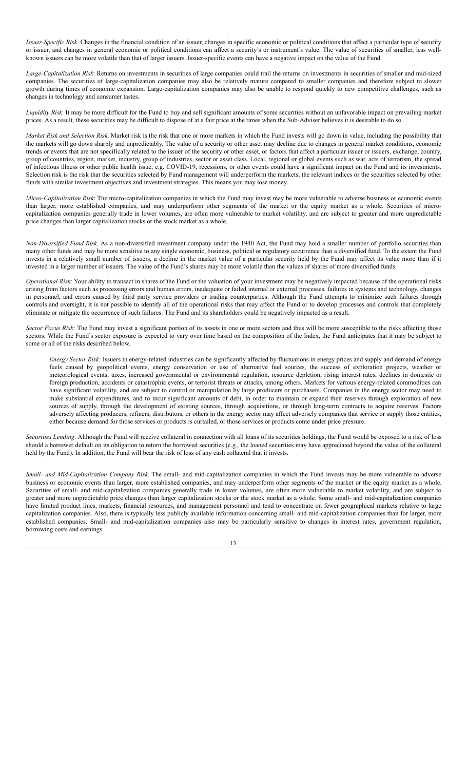*Issuer-Specific Risk*. Changes in the financial condition of an issuer, changes in specific economic or political conditions that affect a particular type of security or issuer, and changes in general economic or political conditions can affect a security's or instrument's value. The value of securities of smaller, less wellknown issuers can be more volatile than that of larger issuers. Issuer-specific events can have a negative impact on the value of the Fund.

*Large-Capitalization Risk*: Returns on investments in securities of large companies could trail the returns on investments in securities of smaller and mid-sized companies. The securities of large-capitalization companies may also be relatively mature compared to smaller companies and therefore subject to slower growth during times of economic expansion. Large-capitalization companies may also be unable to respond quickly to new competitive challenges, such as changes in technology and consumer tastes.

*Liquidity Risk*. It may be more difficult for the Fund to buy and sell significant amounts of some securities without an unfavorable impact on prevailing market prices. As a result, these securities may be difficult to dispose of at a fair price at the times when the Sub-Adviser believes it is desirable to do so.

*Market Risk and Selection Risk*. Market risk is the risk that one or more markets in which the Fund invests will go down in value, including the possibility that the markets will go down sharply and unpredictably. The value of a security or other asset may decline due to changes in general market conditions, economic trends or events that are not specifically related to the issuer of the security or other asset, or factors that affect a particular issuer or issuers, exchange, country, group of countries, region, market, industry, group of industries, sector or asset class. Local, regional or global events such as war, acts of terrorism, the spread of infectious illness or other public health issue, e.g. COVID-19, recessions, or other events could have a significant impact on the Fund and its investments. Selection risk is the risk that the securities selected by Fund management will underperform the markets, the relevant indices or the securities selected by other funds with similar investment objectives and investment strategies. This means you may lose money.

*Micro-Capitalization Risk*: The micro-capitalization companies in which the Fund may invest may be more vulnerable to adverse business or economic events than larger, more established companies, and may underperform other segments of the market or the equity market as a whole. Securities of microcapitalization companies generally trade in lower volumes, are often more vulnerable to market volatility, and are subject to greater and more unpredictable price changes than larger capitalization stocks or the stock market as a whole.

*Non-Diversified Fund Risk*. As a non-diversified investment company under the 1940 Act, the Fund may hold a smaller number of portfolio securities than many other funds and may be more sensitive to any single economic, business, political or regulatory occurrence than a diversified fund. To the extent the Fund invests in a relatively small number of issuers, a decline in the market value of a particular security held by the Fund may affect its value more than if it invested in a larger number of issuers. The value of the Fund's shares may be more volatile than the values of shares of more diversified funds.

*Operational Risk*: Your ability to transact in shares of the Fund or the valuation of your investment may be negatively impacted because of the operational risks arising from factors such as processing errors and human errors, inadequate or failed internal or external processes, failures in systems and technology, changes in personnel, and errors caused by third party service providers or trading counterparties. Although the Fund attempts to minimize such failures through controls and oversight, it is not possible to identify all of the operational risks that may affect the Fund or to develop processes and controls that completely eliminate or mitigate the occurrence of such failures. The Fund and its shareholders could be negatively impacted as a result.

*Sector Focus Risk:* The Fund may invest a significant portion of its assets in one or more sectors and thus will be more susceptible to the risks affecting those sectors. While the Fund's sector exposure is expected to vary over time based on the composition of the Index, the Fund anticipates that it may be subject to some or all of the risks described below.

*Energy Sector Risk:* Issuers in energy-related industries can be significantly affected by fluctuations in energy prices and supply and demand of energy fuels caused by geopolitical events, energy conservation or use of alternative fuel sources, the success of exploration projects, weather or meteorological events, taxes, increased governmental or environmental regulation, resource depletion, rising interest rates, declines in domestic or foreign production, accidents or catastrophic events, or terrorist threats or attacks, among others. Markets for various energy-related commodities can have significant volatility, and are subject to control or manipulation by large producers or purchasers. Companies in the energy sector may need to make substantial expenditures, and to incur significant amounts of debt, in order to maintain or expand their reserves through exploration of new sources of supply, through the development of existing sources, through acquisitions, or through long-term contracts to acquire reserves. Factors adversely affecting producers, refiners, distributors, or others in the energy sector may affect adversely companies that service or supply those entities, either because demand for those services or products is curtailed, or those services or products come under price pressure.

*Securities Lending*. Although the Fund will receive collateral in connection with all loans of its securities holdings, the Fund would be exposed to a risk of loss should a borrower default on its obligation to return the borrowed securities (e.g., the loaned securities may have appreciated beyond the value of the collateral held by the Fund). In addition, the Fund will bear the risk of loss of any cash collateral that it invests.

*Small- and Mid-Capitalization Company Risk*. The small- and mid-capitalization companies in which the Fund invests may be more vulnerable to adverse business or economic events than larger, more established companies, and may underperform other segments of the market or the equity market as a whole. Securities of small- and mid-capitalization companies generally trade in lower volumes, are often more vulnerable to market volatility, and are subject to greater and more unpredictable price changes than larger capitalization stocks or the stock market as a whole. Some small- and mid-capitalization companies have limited product lines, markets, financial resources, and management personnel and tend to concentrate on fewer geographical markets relative to large capitalization companies. Also, there is typically less publicly available information concerning small- and mid-capitalization companies than for larger, more established companies. Small- and mid-capitalization companies also may be particularly sensitive to changes in interest rates, government regulation, borrowing costs and earnings.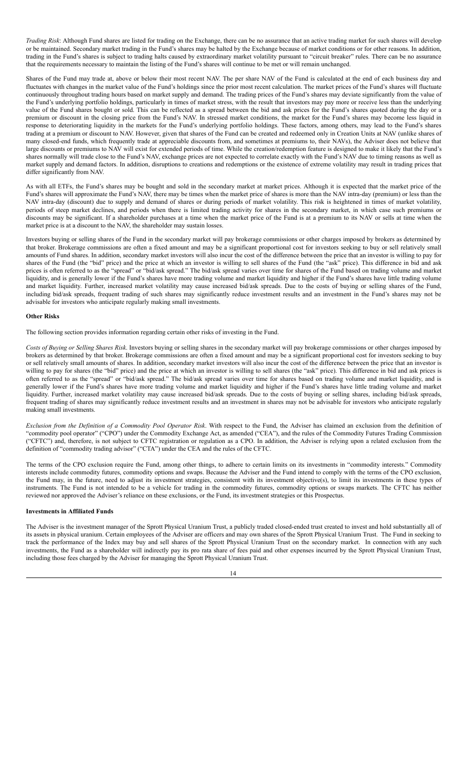*Trading Risk*: Although Fund shares are listed for trading on the Exchange, there can be no assurance that an active trading market for such shares will develop or be maintained. Secondary market trading in the Fund's shares may be halted by the Exchange because of market conditions or for other reasons. In addition, trading in the Fund's shares is subject to trading halts caused by extraordinary market volatility pursuant to "circuit breaker" rules. There can be no assurance that the requirements necessary to maintain the listing of the Fund's shares will continue to be met or will remain unchanged.

Shares of the Fund may trade at, above or below their most recent NAV. The per share NAV of the Fund is calculated at the end of each business day and fluctuates with changes in the market value of the Fund's holdings since the prior most recent calculation. The market prices of the Fund's shares will fluctuate continuously throughout trading hours based on market supply and demand. The trading prices of the Fund's shares may deviate significantly from the value of the Fund's underlying portfolio holdings, particularly in times of market stress, with the result that investors may pay more or receive less than the underlying value of the Fund shares bought or sold. This can be reflected as a spread between the bid and ask prices for the Fund's shares quoted during the day or a premium or discount in the closing price from the Fund's NAV. In stressed market conditions, the market for the Fund's shares may become less liquid in response to deteriorating liquidity in the markets for the Fund's underlying portfolio holdings. These factors, among others, may lead to the Fund's shares trading at a premium or discount to NAV. However, given that shares of the Fund can be created and redeemed only in Creation Units at NAV (unlike shares of many closed-end funds, which frequently trade at appreciable discounts from, and sometimes at premiums to, their NAVs), the Adviser does not believe that large discounts or premiums to NAV will exist for extended periods of time. While the creation/redemption feature is designed to make it likely that the Fund's shares normally will trade close to the Fund's NAV, exchange prices are not expected to correlate exactly with the Fund's NAV due to timing reasons as well as market supply and demand factors. In addition, disruptions to creations and redemptions or the existence of extreme volatility may result in trading prices that differ significantly from NAV.

As with all ETFs, the Fund's shares may be bought and sold in the secondary market at market prices. Although it is expected that the market price of the Fund's shares will approximate the Fund's NAV, there may be times when the market price of shares is more than the NAV intra-day (premium) or less than the NAV intra-day (discount) due to supply and demand of shares or during periods of market volatility. This risk is heightened in times of market volatility, periods of steep market declines, and periods when there is limited trading activity for shares in the secondary market, in which case such premiums or discounts may be significant. If a shareholder purchases at a time when the market price of the Fund is at a premium to its NAV or sells at time when the market price is at a discount to the NAV, the shareholder may sustain losses.

Investors buying or selling shares of the Fund in the secondary market will pay brokerage commissions or other charges imposed by brokers as determined by that broker. Brokerage commissions are often a fixed amount and may be a significant proportional cost for investors seeking to buy or sell relatively small amounts of Fund shares. In addition, secondary market investors will also incur the cost of the difference between the price that an investor is willing to pay for shares of the Fund (the "bid" price) and the price at which an investor is willing to sell shares of the Fund (the "ask" price). This difference in bid and ask prices is often referred to as the "spread" or "bid/ask spread." The bid/ask spread varies over time for shares of the Fund based on trading volume and market liquidity, and is generally lower if the Fund's shares have more trading volume and market liquidity and higher if the Fund's shares have little trading volume and market liquidity. Further, increased market volatility may cause increased bid/ask spreads. Due to the costs of buying or selling shares of the Fund, including bid/ask spreads, frequent trading of such shares may significantly reduce investment results and an investment in the Fund's shares may not be advisable for investors who anticipate regularly making small investments.

# <span id="page-12-0"></span>**Other Risks**

The following section provides information regarding certain other risks of investing in the Fund.

*Costs of Buying or Selling Shares Risk*. Investors buying or selling shares in the secondary market will pay brokerage commissions or other charges imposed by brokers as determined by that broker. Brokerage commissions are often a fixed amount and may be a significant proportional cost for investors seeking to buy or sell relatively small amounts of shares. In addition, secondary market investors will also incur the cost of the difference between the price that an investor is willing to pay for shares (the "bid" price) and the price at which an investor is willing to sell shares (the "ask" price). This difference in bid and ask prices is often referred to as the "spread" or "bid/ask spread." The bid/ask spread varies over time for shares based on trading volume and market liquidity, and is generally lower if the Fund's shares have more trading volume and market liquidity and higher if the Fund's shares have little trading volume and market liquidity. Further, increased market volatility may cause increased bid/ask spreads. Due to the costs of buying or selling shares, including bid/ask spreads, frequent trading of shares may significantly reduce investment results and an investment in shares may not be advisable for investors who anticipate regularly making small investments.

*Exclusion from the Definition of a Commodity Pool Operator Risk*. With respect to the Fund, the Adviser has claimed an exclusion from the definition of "commodity pool operator" ("CPO") under the Commodity Exchange Act, as amended ("CEA"), and the rules of the Commodity Futures Trading Commission ("CFTC") and, therefore, is not subject to CFTC registration or regulation as a CPO. In addition, the Adviser is relying upon a related exclusion from the definition of "commodity trading advisor" ("CTA") under the CEA and the rules of the CFTC.

The terms of the CPO exclusion require the Fund, among other things, to adhere to certain limits on its investments in "commodity interests." Commodity interests include commodity futures, commodity options and swaps. Because the Adviser and the Fund intend to comply with the terms of the CPO exclusion, the Fund may, in the future, need to adjust its investment strategies, consistent with its investment objective(s), to limit its investments in these types of instruments. The Fund is not intended to be a vehicle for trading in the commodity futures, commodity options or swaps markets. The CFTC has neither reviewed nor approved the Adviser's reliance on these exclusions, or the Fund, its investment strategies or this Prospectus.

# **Investments in Affiliated Funds**

The Adviser is the investment manager of the Sprott Physical Uranium Trust, a publicly traded closed-ended trust created to invest and hold substantially all of its assets in physical uranium. Certain employees of the Adviser are officers and may own shares of the Sprott Physical Uranium Trust. The Fund in seeking to track the performance of the Index may buy and sell shares of the Sprott Physical Uranium Trust on the secondary market. In connection with any such investments, the Fund as a shareholder will indirectly pay its pro rata share of fees paid and other expenses incurred by the Sprott Physical Uranium Trust, including those fees charged by the Adviser for managing the Sprott Physical Uranium Trust.

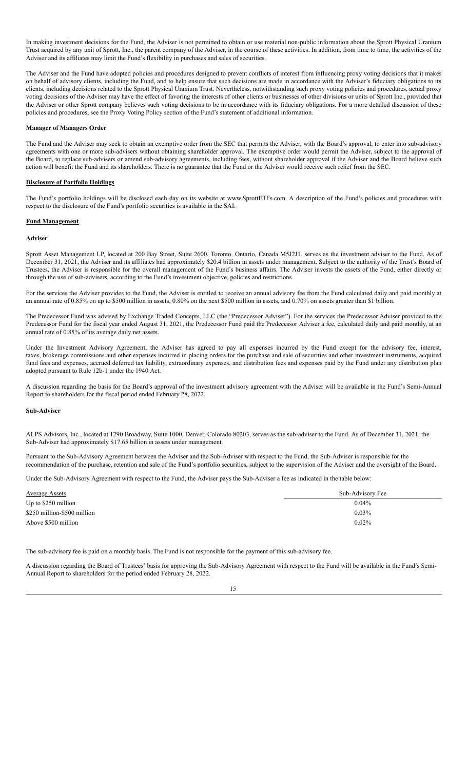In making investment decisions for the Fund, the Adviser is not permitted to obtain or use material non-public information about the Sprott Physical Uranium Trust acquired by any unit of Sprott, Inc., the parent company of the Adviser, in the course of these activities. In addition, from time to time, the activities of the Adviser and its affiliates may limit the Fund's flexibility in purchases and sales of securities.

The Adviser and the Fund have adopted policies and procedures designed to prevent conflicts of interest from influencing proxy voting decisions that it makes on behalf of advisory clients, including the Fund, and to help ensure that such decisions are made in accordance with the Adviser's fiduciary obligations to its clients, including decisions related to the Sprott Physical Uranium Trust. Nevertheless, notwithstanding such proxy voting policies and procedures, actual proxy voting decisions of the Adviser may have the effect of favoring the interests of other clients or businesses of other divisions or units of Sprott Inc., provided that the Adviser or other Sprott company believes such voting decisions to be in accordance with its fiduciary obligations. For a more detailed discussion of these policies and procedures, see the Proxy Voting Policy section of the Fund's statement of additional information.

# **Manager of Managers Order**

The Fund and the Adviser may seek to obtain an exemptive order from the SEC that permits the Adviser, with the Board's approval, to enter into sub-advisory agreements with one or more sub-advisers without obtaining shareholder approval. The exemptive order would permit the Adviser, subject to the approval of the Board, to replace sub-advisers or amend sub-advisory agreements, including fees, without shareholder approval if the Adviser and the Board believe such action will benefit the Fund and its shareholders. There is no guarantee that the Fund or the Adviser would receive such relief from the SEC.

#### <span id="page-13-0"></span>**Disclosure of Portfolio Holdings**

The Fund's portfolio holdings will be disclosed each day on its website at www.SprottETFs.com. A description of the Fund's policies and procedures with respect to the disclosure of the Fund's portfolio securities is available in the SAI.

#### <span id="page-13-1"></span>**Fund Management**

# <span id="page-13-2"></span>**Adviser**

Sprott Asset Management LP, located at 200 Bay Street, Suite 2600, Toronto, Ontario, Canada M5J2J1, serves as the investment adviser to the Fund. As of December 31, 2021, the Adviser and its affiliates had approximately \$20.4 billion in assets under management. Subject to the authority of the Trust's Board of Trustees, the Adviser is responsible for the overall management of the Fund's business affairs. The Adviser invests the assets of the Fund, either directly or through the use of sub-advisers, according to the Fund's investment objective, policies and restrictions.

For the services the Adviser provides to the Fund, the Adviser is entitled to receive an annual advisory fee from the Fund calculated daily and paid monthly at an annual rate of 0.85% on up to \$500 million in assets, 0.80% on the next \$500 million in assets, and 0.70% on assets greater than \$1 billion.

The Predecessor Fund was advised by Exchange Traded Concepts, LLC (the "Predecessor Adviser"). For the services the Predecessor Adviser provided to the Predecessor Fund for the fiscal year ended August 31, 2021, the Predecessor Fund paid the Predecessor Adviser a fee, calculated daily and paid monthly, at an annual rate of 0.85% of its average daily net assets.

Under the Investment Advisory Agreement, the Adviser has agreed to pay all expenses incurred by the Fund except for the advisory fee, interest, taxes, brokerage commissions and other expenses incurred in placing orders for the purchase and sale of securities and other investment instruments, acquired fund fees and expenses, accrued deferred tax liability, extraordinary expenses, and distribution fees and expenses paid by the Fund under any distribution plan adopted pursuant to Rule 12b-1 under the 1940 Act.

A discussion regarding the basis for the Board's approval of the investment advisory agreement with the Adviser will be available in the Fund's Semi-Annual Report to shareholders for the fiscal period ended February 28, 2022.

#### <span id="page-13-3"></span>**Sub-Adviser**

ALPS Advisors, Inc., located at 1290 Broadway, Suite 1000, Denver, Colorado 80203, serves as the sub-adviser to the Fund. As of December 31, 2021, the Sub-Adviser had approximately \$17.65 billion in assets under management.

Pursuant to the Sub-Advisory Agreement between the Adviser and the Sub-Adviser with respect to the Fund, the Sub-Adviser is responsible for the recommendation of the purchase, retention and sale of the Fund's portfolio securities, subject to the supervision of the Adviser and the oversight of the Board.

Under the Sub-Advisory Agreement with respect to the Fund, the Adviser pays the Sub-Adviser a fee as indicated in the table below:

| <b>Average Assets</b>       | Sub-Advisory Fee |
|-----------------------------|------------------|
| Up to $$250$ million        | 0.04%            |
| \$250 million-\$500 million | $0.03\%$         |
| Above \$500 million         | $0.02\%$         |

The sub-advisory fee is paid on a monthly basis. The Fund is not responsible for the payment of this sub-advisory fee.

A discussion regarding the Board of Trustees' basis for approving the Sub-Advisory Agreement with respect to the Fund will be available in the Fund's Semi-Annual Report to shareholders for the period ended February 28, 2022.

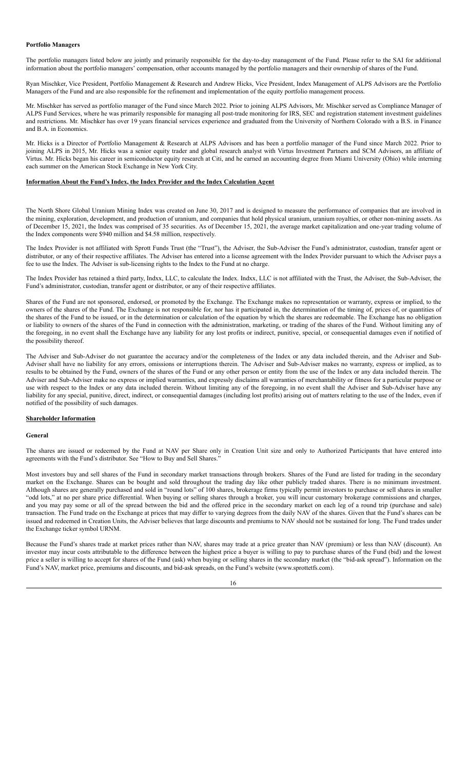# <span id="page-14-0"></span>**Portfolio Managers**

The portfolio managers listed below are jointly and primarily responsible for the day-to-day management of the Fund. Please refer to the SAI for additional information about the portfolio managers' compensation, other accounts managed by the portfolio managers and their ownership of shares of the Fund.

Ryan Mischker, Vice President, Portfolio Management & Research and Andrew Hicks, Vice President, Index Management of ALPS Advisors are the Portfolio Managers of the Fund and are also responsible for the refinement and implementation of the equity portfolio management process.

Mr. Mischker has served as portfolio manager of the Fund since March 2022. Prior to joining ALPS Advisors, Mr. Mischker served as Compliance Manager of ALPS Fund Services, where he was primarily responsible for managing all post-trade monitoring for IRS, SEC and registration statement investment guidelines and restrictions. Mr. Mischker has over 19 years financial services experience and graduated from the University of Northern Colorado with a B.S. in Finance and B.A. in Economics.

Mr. Hicks is a Director of Portfolio Management & Research at ALPS Advisors and has been a portfolio manager of the Fund since March 2022. Prior to joining ALPS in 2015, Mr. Hicks was a senior equity trader and global research analyst with Virtus Investment Partners and SCM Advisors, an affiliate of Virtus. Mr. Hicks began his career in semiconductor equity research at Citi, and he earned an accounting degree from Miami University (Ohio) while interning each summer on the American Stock Exchange in New York City.

# <span id="page-14-1"></span>**Information About the Fund's Index, the Index Provider and the Index Calculation Agent**

The North Shore Global Uranium Mining Index was created on June 30, 2017 and is designed to measure the performance of companies that are involved in the mining, exploration, development, and production of uranium, and companies that hold physical uranium, uranium royalties, or other non-mining assets. As of December 15, 2021, the Index was comprised of 35 securities. As of December 15, 2021, the average market capitalization and one-year trading volume of the Index components were \$940 million and \$4.58 million, respectively.

The Index Provider is not affiliated with Sprott Funds Trust (the "Trust"), the Adviser, the Sub-Adviser the Fund's administrator, custodian, transfer agent or distributor, or any of their respective affiliates. The Adviser has entered into a license agreement with the Index Provider pursuant to which the Adviser pays a fee to use the Index. The Adviser is sub-licensing rights to the Index to the Fund at no charge.

The Index Provider has retained a third party, Indxx, LLC, to calculate the Index. Indxx, LLC is not affiliated with the Trust, the Adviser, the Sub-Adviser, the Fund's administrator, custodian, transfer agent or distributor, or any of their respective affiliates.

Shares of the Fund are not sponsored, endorsed, or promoted by the Exchange. The Exchange makes no representation or warranty, express or implied, to the owners of the shares of the Fund. The Exchange is not responsible for, nor has it participated in, the determination of the timing of, prices of, or quantities of the shares of the Fund to be issued, or in the determination or calculation of the equation by which the shares are redeemable. The Exchange has no obligation or liability to owners of the shares of the Fund in connection with the administration, marketing, or trading of the shares of the Fund. Without limiting any of the foregoing, in no event shall the Exchange have any liability for any lost profits or indirect, punitive, special, or consequential damages even if notified of the possibility thereof.

The Adviser and Sub-Adviser do not guarantee the accuracy and/or the completeness of the Index or any data included therein, and the Adviser and Sub-Adviser shall have no liability for any errors, omissions or interruptions therein. The Adviser and Sub-Adviser makes no warranty, express or implied, as to results to be obtained by the Fund, owners of the shares of the Fund or any other person or entity from the use of the Index or any data included therein. The Adviser and Sub-Adviser make no express or implied warranties, and expressly disclaims all warranties of merchantability or fitness for a particular purpose or use with respect to the Index or any data included therein. Without limiting any of the foregoing, in no event shall the Adviser and Sub-Adviser have any liability for any special, punitive, direct, indirect, or consequential damages (including lost profits) arising out of matters relating to the use of the Index, even if notified of the possibility of such damages.

# <span id="page-14-2"></span>**Shareholder Information**

#### <span id="page-14-3"></span>**General**

The shares are issued or redeemed by the Fund at NAV per Share only in Creation Unit size and only to Authorized Participants that have entered into agreements with the Fund's distributor. See "How to Buy and Sell Shares."

Most investors buy and sell shares of the Fund in secondary market transactions through brokers. Shares of the Fund are listed for trading in the secondary market on the Exchange. Shares can be bought and sold throughout the trading day like other publicly traded shares. There is no minimum investment. Although shares are generally purchased and sold in "round lots" of 100 shares, brokerage firms typically permit investors to purchase or sell shares in smaller "odd lots," at no per share price differential. When buying or selling shares through a broker, you will incur customary brokerage commissions and charges, and you may pay some or all of the spread between the bid and the offered price in the secondary market on each leg of a round trip (purchase and sale) transaction. The Fund trade on the Exchange at prices that may differ to varying degrees from the daily NAV of the shares. Given that the Fund's shares can be issued and redeemed in Creation Units, the Adviser believes that large discounts and premiums to NAV should not be sustained for long. The Fund trades under the Exchange ticker symbol URNM.

Because the Fund's shares trade at market prices rather than NAV, shares may trade at a price greater than NAV (premium) or less than NAV (discount). An investor may incur costs attributable to the difference between the highest price a buyer is willing to pay to purchase shares of the Fund (bid) and the lowest price a seller is willing to accept for shares of the Fund (ask) when buying or selling shares in the secondary market (the "bid-ask spread"). Information on the Fund's NAV, market price, premiums and discounts, and bid-ask spreads, on the Fund's website (www.sprottetfs.com).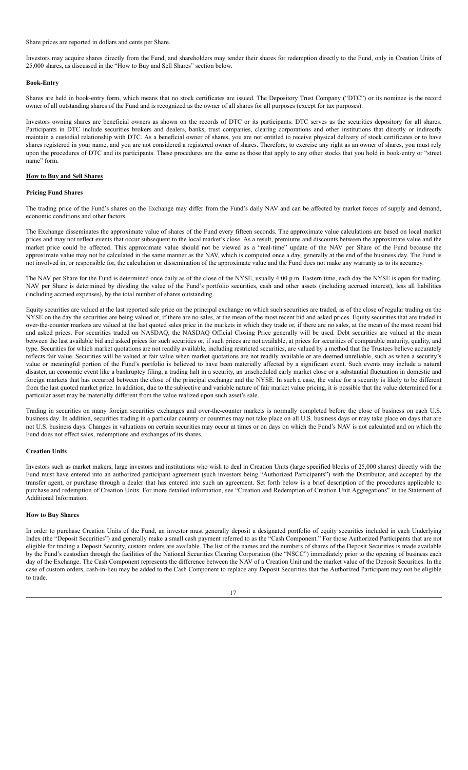#### Share prices are reported in dollars and cents per Share.

Investors may acquire shares directly from the Fund, and shareholders may tender their shares for redemption directly to the Fund, only in Creation Units of 25,000 shares, as discussed in the "How to Buy and Sell Shares" section below.

#### <span id="page-15-0"></span>**Book-Entry**

Shares are held in book-entry form, which means that no stock certificates are issued. The Depository Trust Company ("DTC") or its nominee is the record owner of all outstanding shares of the Fund and is recognized as the owner of all shares for all purposes (except for tax purposes).

Investors owning shares are beneficial owners as shown on the records of DTC or its participants. DTC serves as the securities depository for all shares. Participants in DTC include securities brokers and dealers, banks, trust companies, clearing corporations and other institutions that directly or indirectly maintain a custodial relationship with DTC. As a beneficial owner of shares, you are not entitled to receive physical delivery of stock certificates or to have shares registered in your name, and you are not considered a registered owner of shares. Therefore, to exercise any right as an owner of shares, you must rely upon the procedures of DTC and its participants. These procedures are the same as those that apply to any other stocks that you hold in book-entry or "street name" form.

# <span id="page-15-1"></span>**How to Buy and Sell Shares**

# <span id="page-15-2"></span>**Pricing Fund Shares**

The trading price of the Fund's shares on the Exchange may differ from the Fund's daily NAV and can be affected by market forces of supply and demand, economic conditions and other factors.

The Exchange disseminates the approximate value of shares of the Fund every fifteen seconds. The approximate value calculations are based on local market prices and may not reflect events that occur subsequent to the local market's close. As a result, premiums and discounts between the approximate value and the market price could be affected. This approximate value should not be viewed as a "real-time" update of the NAV per Share of the Fund because the approximate value may not be calculated in the same manner as the NAV, which is computed once a day, generally at the end of the business day. The Fund is not involved in, or responsible for, the calculation or dissemination of the approximate value and the Fund does not make any warranty as to its accuracy.

The NAV per Share for the Fund is determined once daily as of the close of the NYSE, usually 4:00 p.m. Eastern time, each day the NYSE is open for trading. NAV per Share is determined by dividing the value of the Fund's portfolio securities, cash and other assets (including accrued interest), less all liabilities (including accrued expenses), by the total number of shares outstanding.

Equity securities are valued at the last reported sale price on the principal exchange on which such securities are traded, as of the close of regular trading on the NYSE on the day the securities are being valued or, if there are no sales, at the mean of the most recent bid and asked prices. Equity securities that are traded in over-the-counter markets are valued at the last quoted sales price in the markets in which they trade or, if there are no sales, at the mean of the most recent bid and asked prices. For securities traded on NASDAQ, the NASDAQ Official Closing Price generally will be used. Debt securities are valued at the mean between the last available bid and asked prices for such securities or, if such prices are not available, at prices for securities of comparable maturity, quality, and type. Securities for which market quotations are not readily available, including restricted securities, are valued by a method that the Trustees believe accurately reflects fair value. Securities will be valued at fair value when market quotations are not readily available or are deemed unreliable, such as when a security's value or meaningful portion of the Fund's portfolio is believed to have been materially affected by a significant event. Such events may include a natural disaster, an economic event like a bankruptcy filing, a trading halt in a security, an unscheduled early market close or a substantial fluctuation in domestic and foreign markets that has occurred between the close of the principal exchange and the NYSE. In such a case, the value for a security is likely to be different from the last quoted market price. In addition, due to the subjective and variable nature of fair market value pricing, it is possible that the value determined for a particular asset may be materially different from the value realized upon such asset's sale.

Trading in securities on many foreign securities exchanges and over-the-counter markets is normally completed before the close of business on each U.S. business day. In addition, securities trading in a particular country or countries may not take place on all U.S. business days or may take place on days that are not U.S. business days. Changes in valuations on certain securities may occur at times or on days on which the Fund's NAV is not calculated and on which the Fund does not effect sales, redemptions and exchanges of its shares.

#### <span id="page-15-3"></span>**Creation Units**

Investors such as market makers, large investors and institutions who wish to deal in Creation Units (large specified blocks of 25,000 shares) directly with the Fund must have entered into an authorized participant agreement (such investors being "Authorized Participants") with the Distributor, and accepted by the transfer agent, or purchase through a dealer that has entered into such an agreement. Set forth below is a brief description of the procedures applicable to purchase and redemption of Creation Units. For more detailed information, see "Creation and Redemption of Creation Unit Aggregations" in the Statement of Additional Information.

#### <span id="page-15-4"></span>**How to Buy Shares**

In order to purchase Creation Units of the Fund, an investor must generally deposit a designated portfolio of equity securities included in each Underlying Index (the "Deposit Securities") and generally make a small cash payment referred to as the "Cash Component." For those Authorized Participants that are not eligible for trading a Deposit Security, custom orders are available. The list of the names and the numbers of shares of the Deposit Securities is made available by the Fund's custodian through the facilities of the National Securities Clearing Corporation (the "NSCC") immediately prior to the opening of business each day of the Exchange. The Cash Component represents the difference between the NAV of a Creation Unit and the market value of the Deposit Securities. In the case of custom orders, cash-in-lieu may be added to the Cash Component to replace any Deposit Securities that the Authorized Participant may not be eligible to trade.

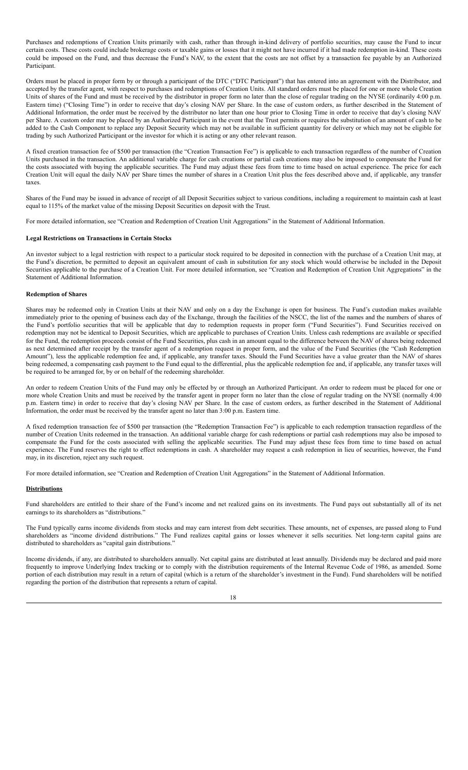Purchases and redemptions of Creation Units primarily with cash, rather than through in-kind delivery of portfolio securities, may cause the Fund to incur certain costs. These costs could include brokerage costs or taxable gains or losses that it might not have incurred if it had made redemption in-kind. These costs could be imposed on the Fund, and thus decrease the Fund's NAV, to the extent that the costs are not offset by a transaction fee payable by an Authorized Participant.

Orders must be placed in proper form by or through a participant of the DTC ("DTC Participant") that has entered into an agreement with the Distributor, and accepted by the transfer agent, with respect to purchases and redemptions of Creation Units. All standard orders must be placed for one or more whole Creation Units of shares of the Fund and must be received by the distributor in proper form no later than the close of regular trading on the NYSE (ordinarily 4:00 p.m. Eastern time) ("Closing Time") in order to receive that day's closing NAV per Share. In the case of custom orders, as further described in the Statement of Additional Information, the order must be received by the distributor no later than one hour prior to Closing Time in order to receive that day's closing NAV per Share. A custom order may be placed by an Authorized Participant in the event that the Trust permits or requires the substitution of an amount of cash to be added to the Cash Component to replace any Deposit Security which may not be available in sufficient quantity for delivery or which may not be eligible for trading by such Authorized Participant or the investor for which it is acting or any other relevant reason.

A fixed creation transaction fee of \$500 per transaction (the "Creation Transaction Fee") is applicable to each transaction regardless of the number of Creation Units purchased in the transaction. An additional variable charge for cash creations or partial cash creations may also be imposed to compensate the Fund for the costs associated with buying the applicable securities. The Fund may adjust these fees from time to time based on actual experience. The price for each Creation Unit will equal the daily NAV per Share times the number of shares in a Creation Unit plus the fees described above and, if applicable, any transfer taxes.

Shares of the Fund may be issued in advance of receipt of all Deposit Securities subject to various conditions, including a requirement to maintain cash at least equal to 115% of the market value of the missing Deposit Securities on deposit with the Trust.

For more detailed information, see "Creation and Redemption of Creation Unit Aggregations" in the Statement of Additional Information.

# <span id="page-16-0"></span>**Legal Restrictions on Transactions in Certain Stocks**

An investor subject to a legal restriction with respect to a particular stock required to be deposited in connection with the purchase of a Creation Unit may, at the Fund's discretion, be permitted to deposit an equivalent amount of cash in substitution for any stock which would otherwise be included in the Deposit Securities applicable to the purchase of a Creation Unit. For more detailed information, see "Creation and Redemption of Creation Unit Aggregations" in the Statement of Additional Information.

# <span id="page-16-1"></span>**Redemption of Shares**

Shares may be redeemed only in Creation Units at their NAV and only on a day the Exchange is open for business. The Fund's custodian makes available immediately prior to the opening of business each day of the Exchange, through the facilities of the NSCC, the list of the names and the numbers of shares of the Fund's portfolio securities that will be applicable that day to redemption requests in proper form ("Fund Securities"). Fund Securities received on redemption may not be identical to Deposit Securities, which are applicable to purchases of Creation Units. Unless cash redemptions are available or specified for the Fund, the redemption proceeds consist of the Fund Securities, plus cash in an amount equal to the difference between the NAV of shares being redeemed as next determined after receipt by the transfer agent of a redemption request in proper form, and the value of the Fund Securities (the "Cash Redemption Amount"), less the applicable redemption fee and, if applicable, any transfer taxes. Should the Fund Securities have a value greater than the NAV of shares being redeemed, a compensating cash payment to the Fund equal to the differential, plus the applicable redemption fee and, if applicable, any transfer taxes will be required to be arranged for, by or on behalf of the redeeming shareholder.

An order to redeem Creation Units of the Fund may only be effected by or through an Authorized Participant. An order to redeem must be placed for one or more whole Creation Units and must be received by the transfer agent in proper form no later than the close of regular trading on the NYSE (normally 4:00 p.m. Eastern time) in order to receive that day's closing NAV per Share. In the case of custom orders, as further described in the Statement of Additional Information, the order must be received by the transfer agent no later than 3:00 p.m. Eastern time.

A fixed redemption transaction fee of \$500 per transaction (the "Redemption Transaction Fee") is applicable to each redemption transaction regardless of the number of Creation Units redeemed in the transaction. An additional variable charge for cash redemptions or partial cash redemptions may also be imposed to compensate the Fund for the costs associated with selling the applicable securities. The Fund may adjust these fees from time to time based on actual experience. The Fund reserves the right to effect redemptions in cash. A shareholder may request a cash redemption in lieu of securities, however, the Fund may, in its discretion, reject any such request.

For more detailed information, see "Creation and Redemption of Creation Unit Aggregations" in the Statement of Additional Information.

#### <span id="page-16-2"></span>**Distributions**

Fund shareholders are entitled to their share of the Fund's income and net realized gains on its investments. The Fund pays out substantially all of its net earnings to its shareholders as "distributions."

The Fund typically earns income dividends from stocks and may earn interest from debt securities. These amounts, net of expenses, are passed along to Fund shareholders as "income dividend distributions." The Fund realizes capital gains or losses whenever it sells securities. Net long-term capital gains are distributed to shareholders as "capital gain distributions."

Income dividends, if any, are distributed to shareholders annually. Net capital gains are distributed at least annually. Dividends may be declared and paid more frequently to improve Underlying Index tracking or to comply with the distribution requirements of the Internal Revenue Code of 1986, as amended. Some portion of each distribution may result in a return of capital (which is a return of the shareholder's investment in the Fund). Fund shareholders will be notified regarding the portion of the distribution that represents a return of capital.

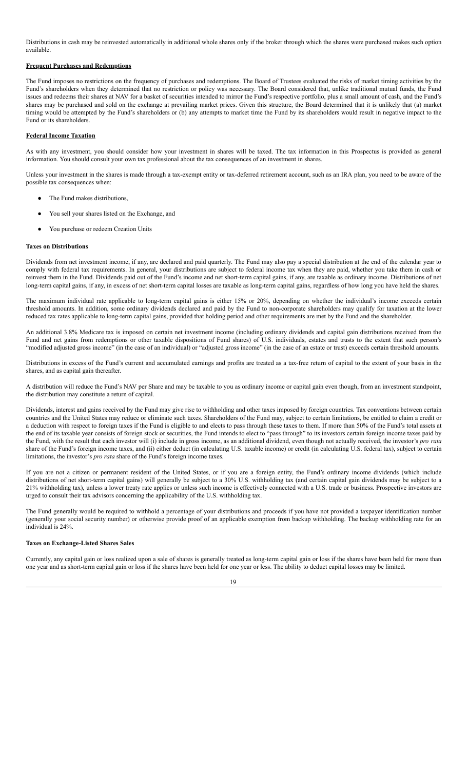Distributions in cash may be reinvested automatically in additional whole shares only if the broker through which the shares were purchased makes such option available.

# <span id="page-17-0"></span>**Frequent Purchases and Redemptions**

The Fund imposes no restrictions on the frequency of purchases and redemptions. The Board of Trustees evaluated the risks of market timing activities by the Fund's shareholders when they determined that no restriction or policy was necessary. The Board considered that, unlike traditional mutual funds, the Fund issues and redeems their shares at NAV for a basket of securities intended to mirror the Fund's respective portfolio, plus a small amount of cash, and the Fund's shares may be purchased and sold on the exchange at prevailing market prices. Given this structure, the Board determined that it is unlikely that (a) market timing would be attempted by the Fund's shareholders or (b) any attempts to market time the Fund by its shareholders would result in negative impact to the Fund or its shareholders.

# <span id="page-17-1"></span>**Federal Income Taxation**

As with any investment, you should consider how your investment in shares will be taxed. The tax information in this Prospectus is provided as general information. You should consult your own tax professional about the tax consequences of an investment in shares.

Unless your investment in the shares is made through a tax-exempt entity or tax-deferred retirement account, such as an IRA plan, you need to be aware of the possible tax consequences when:

- The Fund makes distributions,
- You sell your shares listed on the Exchange, and
- You purchase or redeem Creation Units

# <span id="page-17-2"></span>**Taxes on Distributions**

Dividends from net investment income, if any, are declared and paid quarterly. The Fund may also pay a special distribution at the end of the calendar year to comply with federal tax requirements. In general, your distributions are subject to federal income tax when they are paid, whether you take them in cash or reinvest them in the Fund. Dividends paid out of the Fund's income and net short-term capital gains, if any, are taxable as ordinary income. Distributions of net long-term capital gains, if any, in excess of net short-term capital losses are taxable as long-term capital gains, regardless of how long you have held the shares.

The maximum individual rate applicable to long-term capital gains is either 15% or 20%, depending on whether the individual's income exceeds certain threshold amounts. In addition, some ordinary dividends declared and paid by the Fund to non-corporate shareholders may qualify for taxation at the lower reduced tax rates applicable to long-term capital gains, provided that holding period and other requirements are met by the Fund and the shareholder.

An additional 3.8% Medicare tax is imposed on certain net investment income (including ordinary dividends and capital gain distributions received from the Fund and net gains from redemptions or other taxable dispositions of Fund shares) of U.S. individuals, estates and trusts to the extent that such person's "modified adjusted gross income" (in the case of an individual) or "adjusted gross income" (in the case of an estate or trust) exceeds certain threshold amounts.

Distributions in excess of the Fund's current and accumulated earnings and profits are treated as a tax-free return of capital to the extent of your basis in the shares, and as capital gain thereafter.

A distribution will reduce the Fund's NAV per Share and may be taxable to you as ordinary income or capital gain even though, from an investment standpoint, the distribution may constitute a return of capital.

Dividends, interest and gains received by the Fund may give rise to withholding and other taxes imposed by foreign countries. Tax conventions between certain countries and the United States may reduce or eliminate such taxes. Shareholders of the Fund may, subject to certain limitations, be entitled to claim a credit or a deduction with respect to foreign taxes if the Fund is eligible to and elects to pass through these taxes to them. If more than 50% of the Fund's total assets at the end of its taxable year consists of foreign stock or securities, the Fund intends to elect to "pass through" to its investors certain foreign income taxes paid by the Fund, with the result that each investor will (i) include in gross income, as an additional dividend, even though not actually received, the investor's *pro rata* share of the Fund's foreign income taxes, and (ii) either deduct (in calculating U.S. taxable income) or credit (in calculating U.S. federal tax), subject to certain limitations, the investor's *pro rata* share of the Fund's foreign income taxes.

If you are not a citizen or permanent resident of the United States, or if you are a foreign entity, the Fund's ordinary income dividends (which include distributions of net short-term capital gains) will generally be subject to a 30% U.S. withholding tax (and certain capital gain dividends may be subject to a 21% withholding tax), unless a lower treaty rate applies or unless such income is effectively connected with a U.S. trade or business. Prospective investors are urged to consult their tax advisors concerning the applicability of the U.S. withholding tax.

The Fund generally would be required to withhold a percentage of your distributions and proceeds if you have not provided a taxpayer identification number (generally your social security number) or otherwise provide proof of an applicable exemption from backup withholding. The backup withholding rate for an individual is 24%.

# <span id="page-17-3"></span>**Taxes on Exchange-Listed Shares Sales**

Currently, any capital gain or loss realized upon a sale of shares is generally treated as long-term capital gain or loss if the shares have been held for more than one year and as short-term capital gain or loss if the shares have been held for one year or less. The ability to deduct capital losses may be limited.

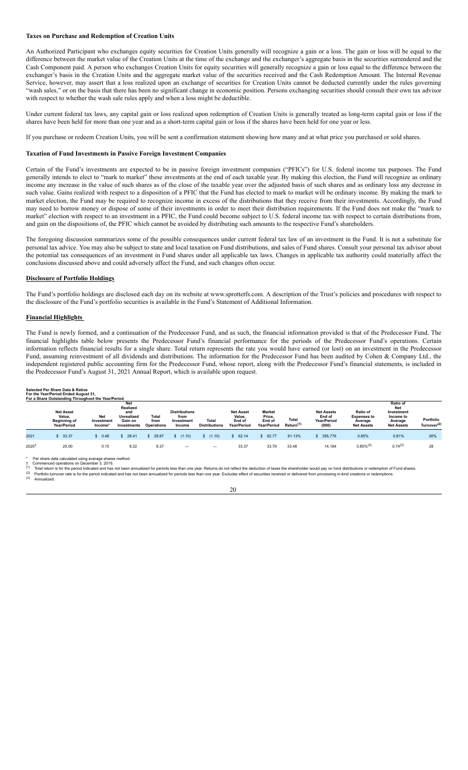# <span id="page-18-0"></span>**Taxes on Purchase and Redemption of Creation Units**

An Authorized Participant who exchanges equity securities for Creation Units generally will recognize a gain or a loss. The gain or loss will be equal to the difference between the market value of the Creation Units at the time of the exchange and the exchanger's aggregate basis in the securities surrendered and the Cash Component paid. A person who exchanges Creation Units for equity securities will generally recognize a gain or loss equal to the difference between the exchanger's basis in the Creation Units and the aggregate market value of the securities received and the Cash Redemption Amount. The Internal Revenue Service, however, may assert that a loss realized upon an exchange of securities for Creation Units cannot be deducted currently under the rules governing "wash sales," or on the basis that there has been no significant change in economic position. Persons exchanging securities should consult their own tax advisor with respect to whether the wash sale rules apply and when a loss might be deductible.

Under current federal tax laws, any capital gain or loss realized upon redemption of Creation Units is generally treated as long-term capital gain or loss if the shares have been held for more than one year and as a short-term capital gain or loss if the shares have been held for one year or less.

If you purchase or redeem Creation Units, you will be sent a confirmation statement showing how many and at what price you purchased or sold shares.

#### <span id="page-18-1"></span>**Taxation of Fund Investments in Passive Foreign Investment Companies**

Certain of the Fund's investments are expected to be in passive foreign investment companies ("PFICs") for U.S. federal income tax purposes. The Fund generally intends to elect to "mark to market" these investments at the end of each taxable year. By making this election, the Fund will recognize as ordinary income any increase in the value of such shares as of the close of the taxable year over the adjusted basis of such shares and as ordinary loss any decrease in such value. Gains realized with respect to a disposition of a PFIC that the Fund has elected to mark to market will be ordinary income. By making the mark to market election, the Fund may be required to recognize income in excess of the distributions that they receive from their investments. Accordingly, the Fund may need to borrow money or dispose of some of their investments in order to meet their distribution requirements. If the Fund does not make the "mark to market" election with respect to an investment in a PFIC, the Fund could become subject to U.S. federal income tax with respect to certain distributions from, and gain on the dispositions of, the PFIC which cannot be avoided by distributing such amounts to the respective Fund's shareholders.

The foregoing discussion summarizes some of the possible consequences under current federal tax law of an investment in the Fund. It is not a substitute for personal tax advice. You may also be subject to state and local taxation on Fund distributions, and sales of Fund shares. Consult your personal tax advisor about the potential tax consequences of an investment in Fund shares under all applicable tax laws. Changes in applicable tax authority could materially affect the conclusions discussed above and could adversely affect the Fund, and such changes often occur.

#### <span id="page-18-2"></span>**Disclosure of Portfolio Holdings**

The Fund's portfolio holdings are disclosed each day on its website at www.sprottetfs.com. A description of the Trust's policies and procedures with respect to the disclosure of the Fund's portfolio securities is available in the Fund's Statement of Additional Information.

# <span id="page-18-3"></span>**Financial Highlights**

The Fund is newly formed, and a continuation of the Predecessor Fund, and as such, the financial information provided is that of the Predecessor Fund. The financial highlights table below presents the Predecessor Fund's financial performance for the periods of the Predecessor Fund's operations. Certain information reflects financial results for a single share. Total return represents the rate you would have earned (or lost) on an investment in the Predecessor Fund, assuming reinvestment of all dividends and distributions. The information for the Predecessor Fund has been audited by Cohen & Company Ltd., the independent registered public accounting firm for the Predecessor Fund, whose report, along with the Predecessor Fund's financial statements, is included in the Predecessor Fund's August 31, 2021 Annual Report, which is available upon request.

| <b>Selected Per Share Data &amp; Ratios</b>             |  |  |
|---------------------------------------------------------|--|--|
| Expediately Manager Provident Expediately Associated Ad |  |  |

|                  | For the Year/Period Ended August 31,<br>For a Share Outstanding Throughout the Year/Period |                                     |                                                                              |                                    |                                                      |                                      |                                                     |                                                         |                                |                                                     |                                                                |                                                                                   |                                      |
|------------------|--------------------------------------------------------------------------------------------|-------------------------------------|------------------------------------------------------------------------------|------------------------------------|------------------------------------------------------|--------------------------------------|-----------------------------------------------------|---------------------------------------------------------|--------------------------------|-----------------------------------------------------|----------------------------------------------------------------|-----------------------------------------------------------------------------------|--------------------------------------|
|                  | <b>Net Asset</b><br>Value,<br><b>Beginning of</b><br>Year/Period                           | <b>Net</b><br>Investment<br>Income* | <b>Net</b><br>Realized<br>and<br><b>Unrealized</b><br>Gain on<br>Investments | Total<br>from<br><b>Operations</b> | <b>Distributions</b><br>from<br>Investment<br>Income | <b>Total</b><br><b>Distributions</b> | <b>Net Asset</b><br>Value,<br>End of<br>Year/Period | <b>Market</b><br>Price,<br>End of<br><b>Year/Period</b> | Total<br>Return <sup>(1)</sup> | <b>Net Assets</b><br>End of<br>Year/Period<br>(000) | Ratio of<br><b>Expenses to</b><br>Average<br><b>Net Assets</b> | Ratio of<br><b>Net</b><br>Investment<br>Income to<br>Average<br><b>Net Assets</b> | Portfolio<br>Turnover <sup>(2)</sup> |
| 2021             | \$33.37                                                                                    | \$0.46                              | 29.41                                                                        | 29.87                              | \$(1.10)                                             | \$(1.10)                             | 62.14<br>S.                                         | 62.77                                                   | 91.13%                         | \$355,776                                           | 0.85%                                                          | 0.81%                                                                             | 26%                                  |
| $2020^{\dagger}$ | 25.00                                                                                      | 0.15                                | 8.22                                                                         | 8.37                               | $\overline{\phantom{0}}$                             |                                      | 33.37                                               | 33.79                                                   | 33.48                          | 14,184                                              | $0.85\%^{(3)}$                                                 | $0.74^{(3)}$                                                                      | 28                                   |

\* Per share data calculated using average shares method. † Commenced operations on December 3, 2019.

(3) Annualized.

<sup>(1)</sup> Total return is for the period indicated and has not been annualized for periods less than one year. Returns do not reflect the deduction of taxes the shareholder would pay on fund distributions or redemption of Fund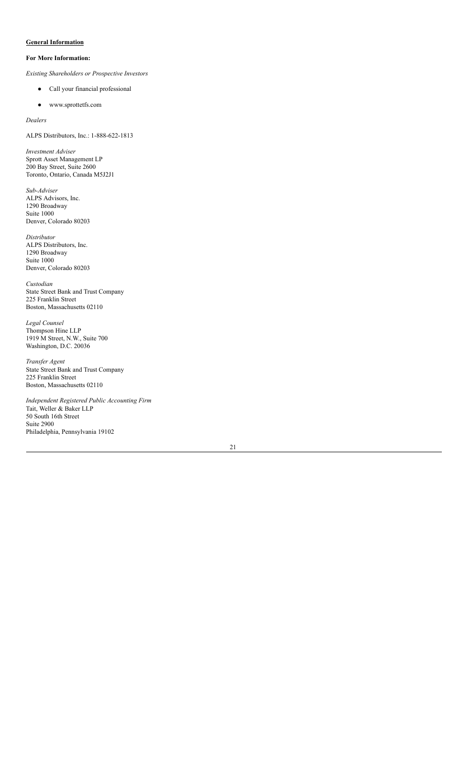# <span id="page-19-0"></span>**General Information**

# **For More Information:**

*Existing Shareholders or Prospective Investors*

- Call your financial professional
- www.sprottetfs.com

*Dealers*

ALPS Distributors, Inc.: 1-888-622-1813

*Investment Adviser* Sprott Asset Management LP 200 Bay Street, Suite 2600 Toronto, Ontario, Canada M5J2J1

*Sub-Adviser* ALPS Advisors, Inc. 1290 Broadway Suite 1000 Denver, Colorado 80203

*Distributor* ALPS Distributors, Inc. 1290 Broadway Suite 1000 Denver, Colorado 80203

*Custodian* State Street Bank and Trust Company 225 Franklin Street Boston, Massachusetts 02110

*Legal Counsel* Thompson Hine LLP 1919 M Street, N.W., Suite 700 Washington, D.C. 20036

*Transfer Agent* State Street Bank and Trust Company 225 Franklin Street Boston, Massachusetts 02110

*Independent Registered Public Accounting Firm* Tait, Weller & Baker LLP 50 South 16th Street Suite 2900 Philadelphia, Pennsylvania 19102